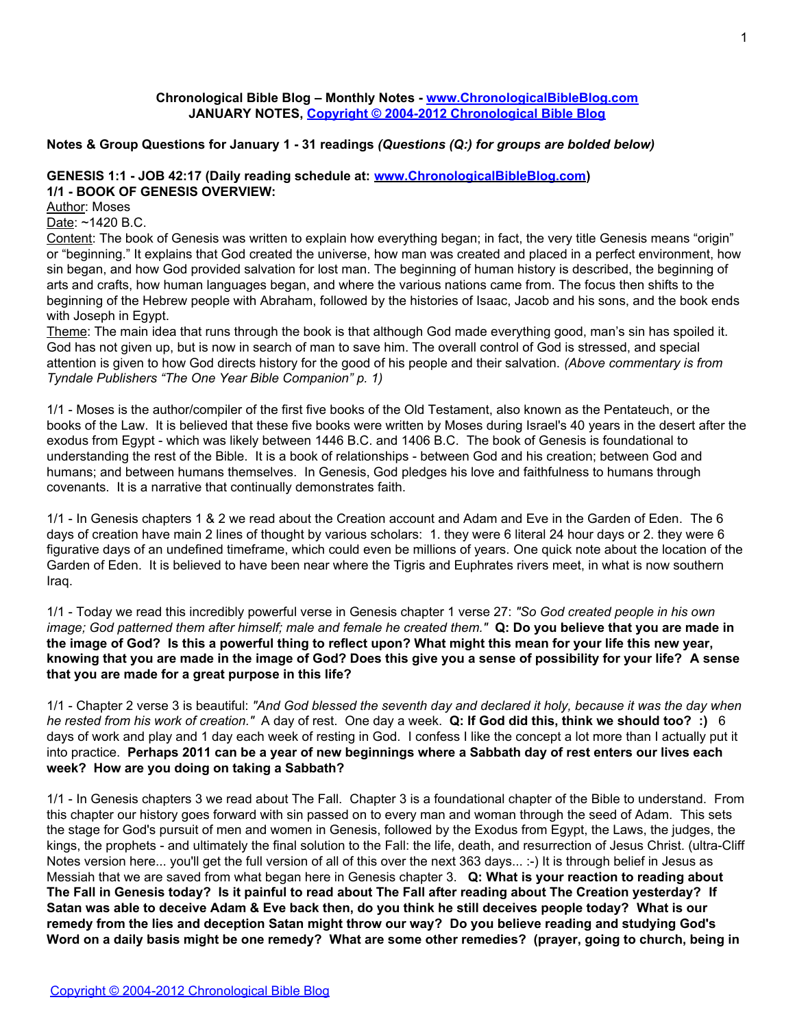### **Chronological Bible Blog – Monthly Notes - [www.ChronologicalBibleBlog.com](http://www.chronologicalbibleblog.com/) JANUARY NOTES, [Copyright © 2004-2012 Chronological Bible Blog](http://www.chronologicalbibleblog.com/)**

# **Notes & Group Questions for January 1 - 31 readings** *(Questions (Q:) for groups are bolded below)*

# **GENESIS 1:1 - JOB 42:17 (Daily reading schedule at: [www.ChronologicalBibleBlog.com\)](http://www.chronologicalbibleblog.com/) 1/1 - BOOK OF GENESIS OVERVIEW:**

Author: Moses

Date: ~1420 B.C.

Content: The book of Genesis was written to explain how everything began; in fact, the very title Genesis means "origin" or "beginning." It explains that God created the universe, how man was created and placed in a perfect environment, how sin began, and how God provided salvation for lost man. The beginning of human history is described, the beginning of arts and crafts, how human languages began, and where the various nations came from. The focus then shifts to the beginning of the Hebrew people with Abraham, followed by the histories of Isaac, Jacob and his sons, and the book ends with Joseph in Egypt.

Theme: The main idea that runs through the book is that although God made everything good, man's sin has spoiled it. God has not given up, but is now in search of man to save him. The overall control of God is stressed, and special attention is given to how God directs history for the good of his people and their salvation. *(Above commentary is from Tyndale Publishers "The One Year Bible Companion" p. 1)*

1/1 - Moses is the author/compiler of the first five books of the Old Testament, also known as the Pentateuch, or the books of the Law. It is believed that these five books were written by Moses during Israel's 40 years in the desert after the exodus from Egypt - which was likely between 1446 B.C. and 1406 B.C. The book of Genesis is foundational to understanding the rest of the Bible. It is a book of relationships - between God and his creation; between God and humans; and between humans themselves. In Genesis, God pledges his love and faithfulness to humans through covenants. It is a narrative that continually demonstrates faith.

1/1 - In Genesis chapters 1 & 2 we read about the Creation account and Adam and Eve in the Garden of Eden. The 6 days of creation have main 2 lines of thought by various scholars: 1. they were 6 literal 24 hour days or 2. they were 6 figurative days of an undefined timeframe, which could even be millions of years. One quick note about the location of the Garden of Eden. It is believed to have been near where the Tigris and Euphrates rivers meet, in what is now southern Iraq.

1/1 - Today we read this incredibly powerful verse in Genesis chapter 1 verse 27: *"So God created people in his own image; God patterned them after himself; male and female he created them."* **Q: Do you believe that you are made in the image of God? Is this a powerful thing to reflect upon? What might this mean for your life this new year, knowing that you are made in the image of God? Does this give you a sense of possibility for your life? A sense that you are made for a great purpose in this life?**

1/1 - Chapter 2 verse 3 is beautiful: *"And God blessed the seventh day and declared it holy, because it was the day when he rested from his work of creation."* A day of rest. One day a week. **Q: If God did this, think we should too? :)** 6 days of work and play and 1 day each week of resting in God. I confess I like the concept a lot more than I actually put it into practice. **Perhaps 2011 can be a year of new beginnings where a Sabbath day of rest enters our lives each week? How are you doing on taking a Sabbath?**

1/1 - In Genesis chapters 3 we read about The Fall. Chapter 3 is a foundational chapter of the Bible to understand. From this chapter our history goes forward with sin passed on to every man and woman through the seed of Adam. This sets the stage for God's pursuit of men and women in Genesis, followed by the Exodus from Egypt, the Laws, the judges, the kings, the prophets - and ultimately the final solution to the Fall: the life, death, and resurrection of Jesus Christ. (ultra-Cliff Notes version here... you'll get the full version of all of this over the next 363 days... :-) It is through belief in Jesus as Messiah that we are saved from what began here in Genesis chapter 3. **Q: What is your reaction to reading about The Fall in Genesis today? Is it painful to read about The Fall after reading about The Creation yesterday? If Satan was able to deceive Adam & Eve back then, do you think he still deceives people today? What is our remedy from the lies and deception Satan might throw our way? Do you believe reading and studying God's Word on a daily basis might be one remedy? What are some other remedies? (prayer, going to church, being in**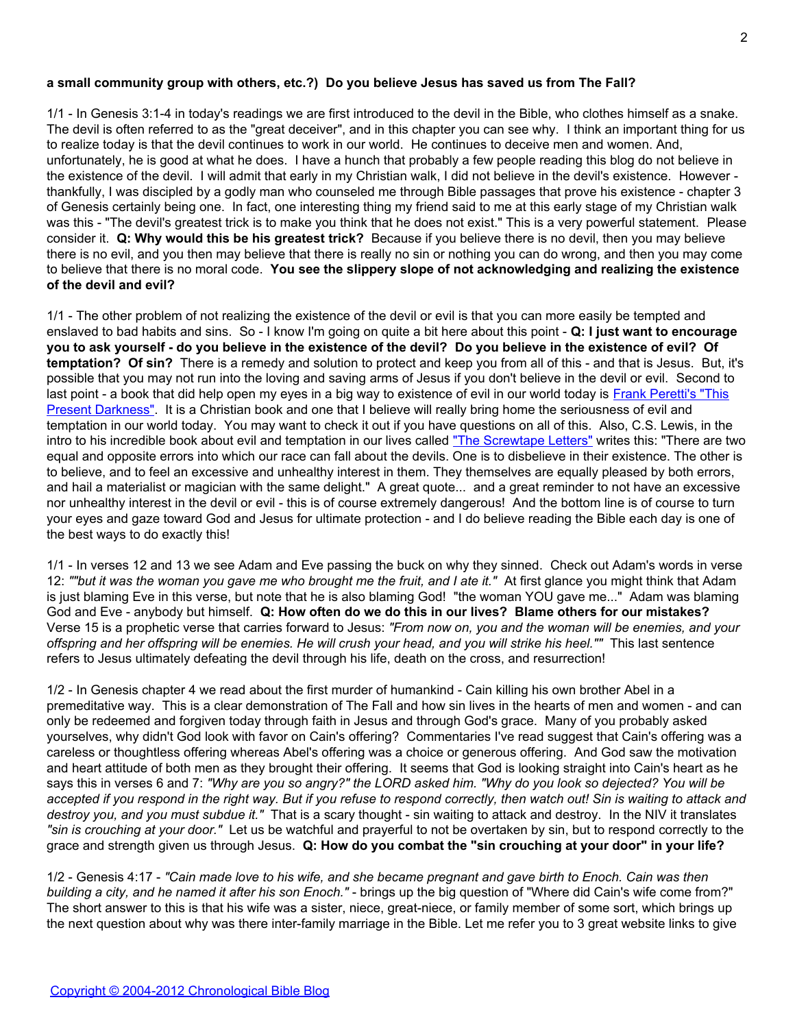### **a small community group with others, etc.?) Do you believe Jesus has saved us from The Fall?**

1/1 - In Genesis 3:1-4 in today's readings we are first introduced to the devil in the Bible, who clothes himself as a snake. The devil is often referred to as the "great deceiver", and in this chapter you can see why. I think an important thing for us to realize today is that the devil continues to work in our world. He continues to deceive men and women. And, unfortunately, he is good at what he does. I have a hunch that probably a few people reading this blog do not believe in the existence of the devil. I will admit that early in my Christian walk, I did not believe in the devil's existence. However thankfully, I was discipled by a godly man who counseled me through Bible passages that prove his existence - chapter 3 of Genesis certainly being one. In fact, one interesting thing my friend said to me at this early stage of my Christian walk was this - "The devil's greatest trick is to make you think that he does not exist." This is a very powerful statement. Please consider it. **Q: Why would this be his greatest trick?** Because if you believe there is no devil, then you may believe there is no evil, and you then may believe that there is really no sin or nothing you can do wrong, and then you may come to believe that there is no moral code. **You see the slippery slope of not acknowledging and realizing the existence of the devil and evil?**

1/1 - The other problem of not realizing the existence of the devil or evil is that you can more easily be tempted and enslaved to bad habits and sins. So - I know I'm going on quite a bit here about this point - **Q: I just want to encourage you to ask yourself - do you believe in the existence of the devil? Do you believe in the existence of evil? Of temptation? Of sin?** There is a remedy and solution to protect and keep you from all of this - and that is Jesus. But, it's possible that you may not run into the loving and saving arms of Jesus if you don't believe in the devil or evil. Second to last point - a book that did help open my eyes in a big way to existence of evil in our world today is [Frank Peretti's "This](http://www.amazon.com/gp/product/0842361715/) [Present Darkness"](http://www.amazon.com/gp/product/0842361715/). It is a Christian book and one that I believe will really bring home the seriousness of evil and temptation in our world today. You may want to check it out if you have questions on all of this. Also, C.S. Lewis, in the intro to his incredible book about evil and temptation in our lives called ["The Screwtape Letters"](http://www.amazon.com/gp/product/0060652934/) writes this: "There are two equal and opposite errors into which our race can fall about the devils. One is to disbelieve in their existence. The other is to believe, and to feel an excessive and unhealthy interest in them. They themselves are equally pleased by both errors, and hail a materialist or magician with the same delight." A great quote... and a great reminder to not have an excessive nor unhealthy interest in the devil or evil - this is of course extremely dangerous! And the bottom line is of course to turn your eyes and gaze toward God and Jesus for ultimate protection - and I do believe reading the Bible each day is one of the best ways to do exactly this!

1/1 - In verses 12 and 13 we see Adam and Eve passing the buck on why they sinned. Check out Adam's words in verse 12: *""but it was the woman you gave me who brought me the fruit, and I ate it."* At first glance you might think that Adam is just blaming Eve in this verse, but note that he is also blaming God! "the woman YOU gave me..." Adam was blaming God and Eve - anybody but himself. **Q: How often do we do this in our lives? Blame others for our mistakes?** Verse 15 is a prophetic verse that carries forward to Jesus: *"From now on, you and the woman will be enemies, and your offspring and her offspring will be enemies. He will crush your head, and you will strike his heel.""* This last sentence refers to Jesus ultimately defeating the devil through his life, death on the cross, and resurrection!

1/2 - In Genesis chapter 4 we read about the first murder of humankind - Cain killing his own brother Abel in a premeditative way. This is a clear demonstration of The Fall and how sin lives in the hearts of men and women - and can only be redeemed and forgiven today through faith in Jesus and through God's grace. Many of you probably asked yourselves, why didn't God look with favor on Cain's offering? Commentaries I've read suggest that Cain's offering was a careless or thoughtless offering whereas Abel's offering was a choice or generous offering. And God saw the motivation and heart attitude of both men as they brought their offering. It seems that God is looking straight into Cain's heart as he says this in verses 6 and 7: *"Why are you so angry?" the LORD asked him. "Why do you look so dejected? You will be accepted if you respond in the right way. But if you refuse to respond correctly, then watch out! Sin is waiting to attack and destroy you, and you must subdue it."* That is a scary thought - sin waiting to attack and destroy. In the NIV it translates *"sin is crouching at your door."* Let us be watchful and prayerful to not be overtaken by sin, but to respond correctly to the grace and strength given us through Jesus. **Q: How do you combat the "sin crouching at your door" in your life?**

1/2 - Genesis 4:17 - *"Cain made love to his wife, and she became pregnant and gave birth to Enoch. Cain was then building a city, and he named it after his son Enoch."* - brings up the big question of "Where did Cain's wife come from?" The short answer to this is that his wife was a sister, niece, great-niece, or family member of some sort, which brings up the next question about why was there inter-family marriage in the Bible. Let me refer you to 3 great website links to give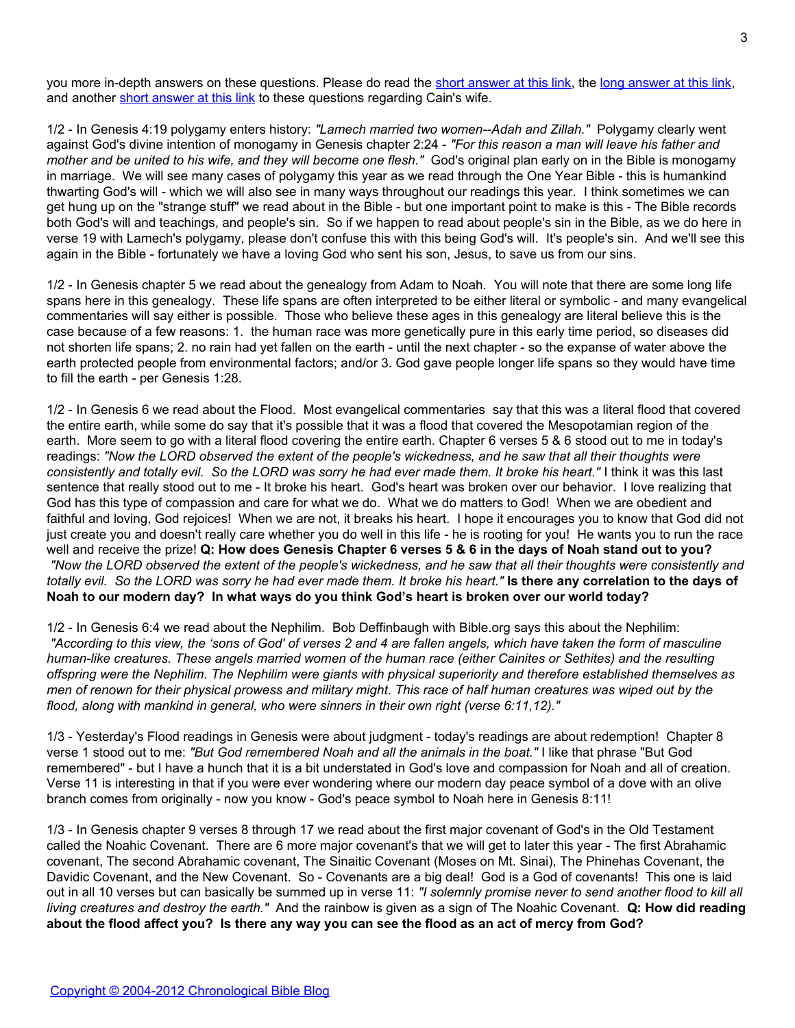you more in-depth answers on these questions. Please do read the [short answer at this link](http://www.keyway.ca/htm2001/20010720.htm), the [long answer at this link,](http://www.christiananswers.net/q-aig/aig-c004.html) and another [short answer at this link](http://www.gotquestions.org/Cains-wife.html) to these questions regarding Cain's wife.

1/2 - In Genesis 4:19 polygamy enters history: *"Lamech married two women--Adah and Zillah."* Polygamy clearly went against God's divine intention of monogamy in Genesis chapter 2:24 - *"For this reason a man will leave his father and mother and be united to his wife, and they will become one flesh."* God's original plan early on in the Bible is monogamy in marriage. We will see many cases of polygamy this year as we read through the One Year Bible - this is humankind thwarting God's will - which we will also see in many ways throughout our readings this year. I think sometimes we can get hung up on the "strange stuff" we read about in the Bible - but one important point to make is this - The Bible records both God's will and teachings, and people's sin. So if we happen to read about people's sin in the Bible, as we do here in verse 19 with Lamech's polygamy, please don't confuse this with this being God's will. It's people's sin. And we'll see this again in the Bible - fortunately we have a loving God who sent his son, Jesus, to save us from our sins.

1/2 - In Genesis chapter 5 we read about the genealogy from Adam to Noah. You will note that there are some long life spans here in this genealogy. These life spans are often interpreted to be either literal or symbolic - and many evangelical commentaries will say either is possible. Those who believe these ages in this genealogy are literal believe this is the case because of a few reasons: 1. the human race was more genetically pure in this early time period, so diseases did not shorten life spans; 2. no rain had yet fallen on the earth - until the next chapter - so the expanse of water above the earth protected people from environmental factors; and/or 3. God gave people longer life spans so they would have time to fill the earth - per Genesis 1:28.

1/2 - In Genesis 6 we read about the Flood. Most evangelical commentaries say that this was a literal flood that covered the entire earth, while some do say that it's possible that it was a flood that covered the Mesopotamian region of the earth. More seem to go with a literal flood covering the entire earth. Chapter 6 verses 5 & 6 stood out to me in today's readings: *"Now the LORD observed the extent of the people's wickedness, and he saw that all their thoughts were consistently and totally evil. So the LORD was sorry he had ever made them. It broke his heart."* I think it was this last sentence that really stood out to me - It broke his heart. God's heart was broken over our behavior. I love realizing that God has this type of compassion and care for what we do. What we do matters to God! When we are obedient and faithful and loving, God rejoices! When we are not, it breaks his heart. I hope it encourages you to know that God did not just create you and doesn't really care whether you do well in this life - he is rooting for you! He wants you to run the race well and receive the prize! **Q: How does Genesis Chapter 6 verses 5 & 6 in the days of Noah stand out to you?** *"Now the LORD observed the extent of the people's wickedness, and he saw that all their thoughts were consistently and totally evil. So the LORD was sorry he had ever made them. It broke his heart."* **Is there any correlation to the days of Noah to our modern day? In what ways do you think God's heart is broken over our world today?**

1/2 - In Genesis 6:4 we read about the Nephilim. Bob Deffinbaugh with Bible.org says this about the Nephilim: *"According to this view, the 'sons of God' of verses 2 and 4 are fallen angels, which have taken the form of masculine human-like creatures. These angels married women of the human race (either Cainites or Sethites) and the resulting offspring were the Nephilim. The Nephilim were giants with physical superiority and therefore established themselves as men of renown for their physical prowess and military might. This race of half human creatures was wiped out by the flood, along with mankind in general, who were sinners in their own right (verse 6:11,12)."*

1/3 - Yesterday's Flood readings in Genesis were about judgment - today's readings are about redemption! Chapter 8 verse 1 stood out to me: *"But God remembered Noah and all the animals in the boat."* I like that phrase "But God remembered" - but I have a hunch that it is a bit understated in God's love and compassion for Noah and all of creation. Verse 11 is interesting in that if you were ever wondering where our modern day peace symbol of a dove with an olive branch comes from originally - now you know - God's peace symbol to Noah here in Genesis 8:11!

1/3 - In Genesis chapter 9 verses 8 through 17 we read about the first major covenant of God's in the Old Testament called the Noahic Covenant. There are 6 more major covenant's that we will get to later this year - The first Abrahamic covenant, The second Abrahamic covenant, The Sinaitic Covenant (Moses on Mt. Sinai), The Phinehas Covenant, the Davidic Covenant, and the New Covenant. So - Covenants are a big deal! God is a God of covenants! This one is laid out in all 10 verses but can basically be summed up in verse 11: *"I solemnly promise never to send another flood to kill all living creatures and destroy the earth."* And the rainbow is given as a sign of The Noahic Covenant. **Q: How did reading about the flood affect you? Is there any way you can see the flood as an act of mercy from God?**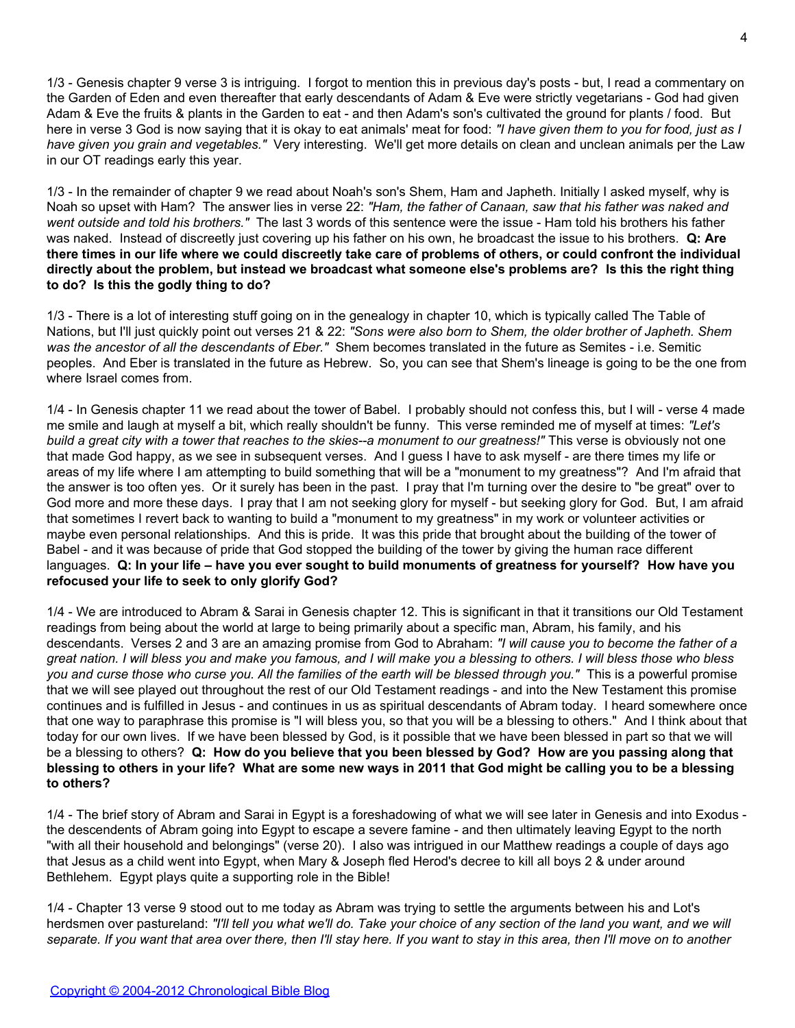1/3 - Genesis chapter 9 verse 3 is intriguing. I forgot to mention this in previous day's posts - but, I read a commentary on the Garden of Eden and even thereafter that early descendants of Adam & Eve were strictly vegetarians - God had given Adam & Eve the fruits & plants in the Garden to eat - and then Adam's son's cultivated the ground for plants / food. But here in verse 3 God is now saying that it is okay to eat animals' meat for food: *"I have given them to you for food, just as I have given you grain and vegetables."* Very interesting. We'll get more details on clean and unclean animals per the Law in our OT readings early this year.

1/3 - In the remainder of chapter 9 we read about Noah's son's Shem, Ham and Japheth. Initially I asked myself, why is Noah so upset with Ham? The answer lies in verse 22: *"Ham, the father of Canaan, saw that his father was naked and went outside and told his brothers."* The last 3 words of this sentence were the issue - Ham told his brothers his father was naked. Instead of discreetly just covering up his father on his own, he broadcast the issue to his brothers. **Q: Are there times in our life where we could discreetly take care of problems of others, or could confront the individual directly about the problem, but instead we broadcast what someone else's problems are? Is this the right thing to do? Is this the godly thing to do?**

1/3 - There is a lot of interesting stuff going on in the genealogy in chapter 10, which is typically called The Table of Nations, but I'll just quickly point out verses 21 & 22: *"Sons were also born to Shem, the older brother of Japheth. Shem was the ancestor of all the descendants of Eber."* Shem becomes translated in the future as Semites - i.e. Semitic peoples. And Eber is translated in the future as Hebrew. So, you can see that Shem's lineage is going to be the one from where Israel comes from.

1/4 - In Genesis chapter 11 we read about the tower of Babel. I probably should not confess this, but I will - verse 4 made me smile and laugh at myself a bit, which really shouldn't be funny. This verse reminded me of myself at times: *"Let's build a great city with a tower that reaches to the skies--a monument to our greatness!"* This verse is obviously not one that made God happy, as we see in subsequent verses. And I guess I have to ask myself - are there times my life or areas of my life where I am attempting to build something that will be a "monument to my greatness"? And I'm afraid that the answer is too often yes. Or it surely has been in the past. I pray that I'm turning over the desire to "be great" over to God more and more these days. I pray that I am not seeking glory for myself - but seeking glory for God. But, I am afraid that sometimes I revert back to wanting to build a "monument to my greatness" in my work or volunteer activities or maybe even personal relationships. And this is pride. It was this pride that brought about the building of the tower of Babel - and it was because of pride that God stopped the building of the tower by giving the human race different languages. **Q: In your life – have you ever sought to build monuments of greatness for yourself? How have you refocused your life to seek to only glorify God?**

1/4 - We are introduced to Abram & Sarai in Genesis chapter 12. This is significant in that it transitions our Old Testament readings from being about the world at large to being primarily about a specific man, Abram, his family, and his descendants. Verses 2 and 3 are an amazing promise from God to Abraham: *"I will cause you to become the father of a great nation. I will bless you and make you famous, and I will make you a blessing to others. I will bless those who bless you and curse those who curse you. All the families of the earth will be blessed through you."* This is a powerful promise that we will see played out throughout the rest of our Old Testament readings - and into the New Testament this promise continues and is fulfilled in Jesus - and continues in us as spiritual descendants of Abram today. I heard somewhere once that one way to paraphrase this promise is "I will bless you, so that you will be a blessing to others." And I think about that today for our own lives. If we have been blessed by God, is it possible that we have been blessed in part so that we will be a blessing to others? **Q: How do you believe that you been blessed by God? How are you passing along that blessing to others in your life? What are some new ways in 2011 that God might be calling you to be a blessing to others?**

1/4 - The brief story of Abram and Sarai in Egypt is a foreshadowing of what we will see later in Genesis and into Exodus the descendents of Abram going into Egypt to escape a severe famine - and then ultimately leaving Egypt to the north "with all their household and belongings" (verse 20). I also was intrigued in our Matthew readings a couple of days ago that Jesus as a child went into Egypt, when Mary & Joseph fled Herod's decree to kill all boys 2 & under around Bethlehem. Egypt plays quite a supporting role in the Bible!

1/4 - Chapter 13 verse 9 stood out to me today as Abram was trying to settle the arguments between his and Lot's herdsmen over pastureland: *"I'll tell you what we'll do. Take your choice of any section of the land you want, and we will separate. If you want that area over there, then I'll stay here. If you want to stay in this area, then I'll move on to another*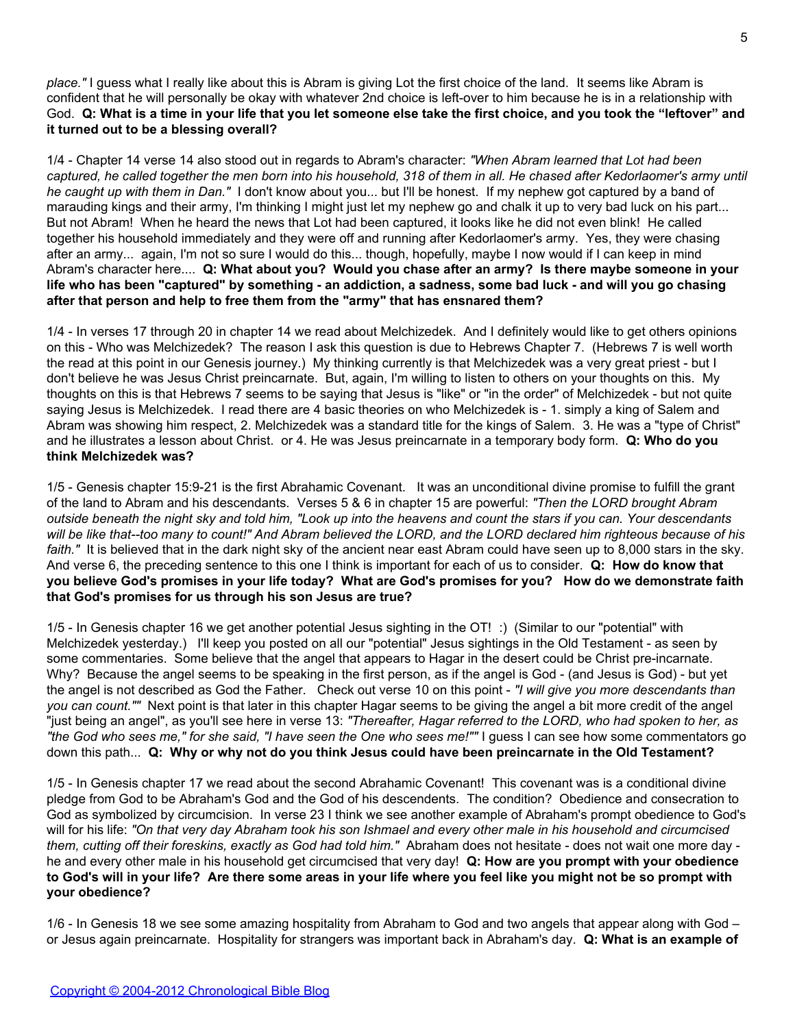*place."* I guess what I really like about this is Abram is giving Lot the first choice of the land. It seems like Abram is confident that he will personally be okay with whatever 2nd choice is left-over to him because he is in a relationship with God. **Q: What is a time in your life that you let someone else take the first choice, and you took the "leftover" and it turned out to be a blessing overall?**

1/4 - Chapter 14 verse 14 also stood out in regards to Abram's character: *"When Abram learned that Lot had been captured, he called together the men born into his household, 318 of them in all. He chased after Kedorlaomer's army until he caught up with them in Dan."* I don't know about you... but I'll be honest. If my nephew got captured by a band of marauding kings and their army, I'm thinking I might just let my nephew go and chalk it up to very bad luck on his part... But not Abram! When he heard the news that Lot had been captured, it looks like he did not even blink! He called together his household immediately and they were off and running after Kedorlaomer's army. Yes, they were chasing after an army... again, I'm not so sure I would do this... though, hopefully, maybe I now would if I can keep in mind Abram's character here.... **Q: What about you? Would you chase after an army? Is there maybe someone in your life who has been "captured" by something - an addiction, a sadness, some bad luck - and will you go chasing after that person and help to free them from the "army" that has ensnared them?**

1/4 - In verses 17 through 20 in chapter 14 we read about Melchizedek. And I definitely would like to get others opinions on this - Who was Melchizedek? The reason I ask this question is due to Hebrews Chapter 7. (Hebrews 7 is well worth the read at this point in our Genesis journey.) My thinking currently is that Melchizedek was a very great priest - but I don't believe he was Jesus Christ preincarnate. But, again, I'm willing to listen to others on your thoughts on this. My thoughts on this is that Hebrews 7 seems to be saying that Jesus is "like" or "in the order" of Melchizedek - but not quite saying Jesus is Melchizedek. I read there are 4 basic theories on who Melchizedek is - 1. simply a king of Salem and Abram was showing him respect, 2. Melchizedek was a standard title for the kings of Salem. 3. He was a "type of Christ" and he illustrates a lesson about Christ. or 4. He was Jesus preincarnate in a temporary body form. **Q: Who do you think Melchizedek was?**

1/5 - Genesis chapter 15:9-21 is the first Abrahamic Covenant. It was an unconditional divine promise to fulfill the grant of the land to Abram and his descendants. Verses 5 & 6 in chapter 15 are powerful: *"Then the LORD brought Abram outside beneath the night sky and told him, "Look up into the heavens and count the stars if you can. Your descendants will be like that--too many to count!" And Abram believed the LORD, and the LORD declared him righteous because of his* faith." It is believed that in the dark night sky of the ancient near east Abram could have seen up to 8,000 stars in the sky. And verse 6, the preceding sentence to this one I think is important for each of us to consider. **Q: How do know that you believe God's promises in your life today? What are God's promises for you? How do we demonstrate faith that God's promises for us through his son Jesus are true?**

1/5 - In Genesis chapter 16 we get another potential Jesus sighting in the OT! :) (Similar to our "potential" with Melchizedek yesterday.) I'll keep you posted on all our "potential" Jesus sightings in the Old Testament - as seen by some commentaries. Some believe that the angel that appears to Hagar in the desert could be Christ pre-incarnate. Why? Because the angel seems to be speaking in the first person, as if the angel is God - (and Jesus is God) - but yet the angel is not described as God the Father. Check out verse 10 on this point - *"I will give you more descendants than you can count.""* Next point is that later in this chapter Hagar seems to be giving the angel a bit more credit of the angel "just being an angel", as you'll see here in verse 13: *"Thereafter, Hagar referred to the LORD, who had spoken to her, as "the God who sees me," for she said, "I have seen the One who sees me!""* I guess I can see how some commentators go down this path... **Q: Why or why not do you think Jesus could have been preincarnate in the Old Testament?**

1/5 - In Genesis chapter 17 we read about the second Abrahamic Covenant! This covenant was is a conditional divine pledge from God to be Abraham's God and the God of his descendents. The condition? Obedience and consecration to God as symbolized by circumcision. In verse 23 I think we see another example of Abraham's prompt obedience to God's will for his life: *"On that very day Abraham took his son Ishmael and every other male in his household and circumcised them, cutting off their foreskins, exactly as God had told him."* Abraham does not hesitate - does not wait one more day he and every other male in his household get circumcised that very day! **Q: How are you prompt with your obedience to God's will in your life? Are there some areas in your life where you feel like you might not be so prompt with your obedience?**

1/6 - In Genesis 18 we see some amazing hospitality from Abraham to God and two angels that appear along with God – or Jesus again preincarnate. Hospitality for strangers was important back in Abraham's day. **Q: What is an example of**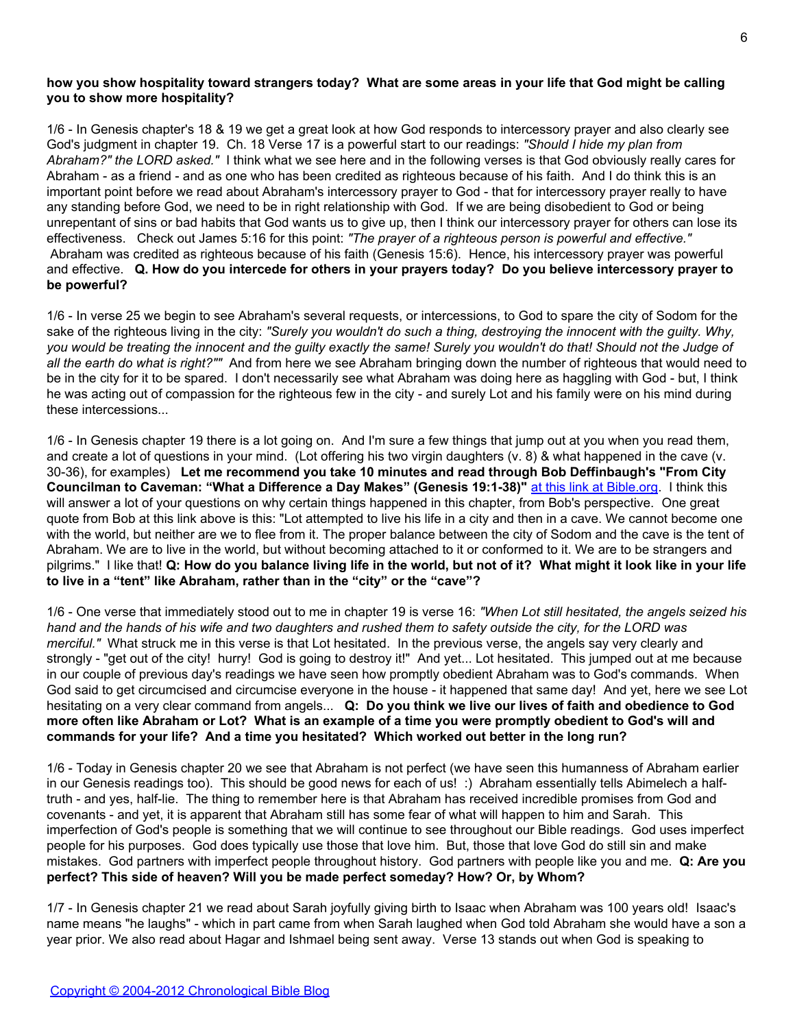# **how you show hospitality toward strangers today? What are some areas in your life that God might be calling you to show more hospitality?**

1/6 - In Genesis chapter's 18 & 19 we get a great look at how God responds to intercessory prayer and also clearly see God's judgment in chapter 19. Ch. 18 Verse 17 is a powerful start to our readings: *"Should I hide my plan from Abraham?" the LORD asked."* I think what we see here and in the following verses is that God obviously really cares for Abraham - as a friend - and as one who has been credited as righteous because of his faith. And I do think this is an important point before we read about Abraham's intercessory prayer to God - that for intercessory prayer really to have any standing before God, we need to be in right relationship with God. If we are being disobedient to God or being unrepentant of sins or bad habits that God wants us to give up, then I think our intercessory prayer for others can lose its effectiveness. Check out James 5:16 for this point: *"The prayer of a righteous person is powerful and effective."* Abraham was credited as righteous because of his faith (Genesis 15:6). Hence, his intercessory prayer was powerful and effective. **Q. How do you intercede for others in your prayers today? Do you believe intercessory prayer to be powerful?**

1/6 - In verse 25 we begin to see Abraham's several requests, or intercessions, to God to spare the city of Sodom for the sake of the righteous living in the city: *"Surely you wouldn't do such a thing, destroying the innocent with the guilty. Why, you would be treating the innocent and the guilty exactly the same! Surely you wouldn't do that! Should not the Judge of all the earth do what is right?""* And from here we see Abraham bringing down the number of righteous that would need to be in the city for it to be spared. I don't necessarily see what Abraham was doing here as haggling with God - but, I think he was acting out of compassion for the righteous few in the city - and surely Lot and his family were on his mind during these intercessions...

1/6 - In Genesis chapter 19 there is a lot going on. And I'm sure a few things that jump out at you when you read them, and create a lot of questions in your mind. (Lot offering his two virgin daughters (v. 8) & what happened in the cave (v. 30-36), for examples) **Let me recommend you take 10 minutes and read through Bob Deffinbaugh's "From City Councilman to Caveman: "What a Difference a Day Makes" (Genesis 19:1-38)"** [at this link at Bible.org](http://blank/). I think this will answer a lot of your questions on why certain things happened in this chapter, from Bob's perspective. One great quote from Bob at this link above is this: "Lot attempted to live his life in a city and then in a cave. We cannot become one with the world, but neither are we to flee from it. The proper balance between the city of Sodom and the cave is the tent of Abraham. We are to live in the world, but without becoming attached to it or conformed to it. We are to be strangers and pilgrims." I like that! **Q: How do you balance living life in the world, but not of it? What might it look like in your life to live in a "tent" like Abraham, rather than in the "city" or the "cave"?**

1/6 - One verse that immediately stood out to me in chapter 19 is verse 16: *"When Lot still hesitated, the angels seized his hand and the hands of his wife and two daughters and rushed them to safety outside the city, for the LORD was merciful."* What struck me in this verse is that Lot hesitated. In the previous verse, the angels say very clearly and strongly - "get out of the city! hurry! God is going to destroy it!" And yet... Lot hesitated. This jumped out at me because in our couple of previous day's readings we have seen how promptly obedient Abraham was to God's commands. When God said to get circumcised and circumcise everyone in the house - it happened that same day! And yet, here we see Lot hesitating on a very clear command from angels... **Q: Do you think we live our lives of faith and obedience to God more often like Abraham or Lot? What is an example of a time you were promptly obedient to God's will and commands for your life? And a time you hesitated? Which worked out better in the long run?**

1/6 - Today in Genesis chapter 20 we see that Abraham is not perfect (we have seen this humanness of Abraham earlier in our Genesis readings too). This should be good news for each of us! :) Abraham essentially tells Abimelech a halftruth - and yes, half-lie. The thing to remember here is that Abraham has received incredible promises from God and covenants - and yet, it is apparent that Abraham still has some fear of what will happen to him and Sarah. This imperfection of God's people is something that we will continue to see throughout our Bible readings. God uses imperfect people for his purposes. God does typically use those that love him. But, those that love God do still sin and make mistakes. God partners with imperfect people throughout history. God partners with people like you and me. **Q: Are you perfect? This side of heaven? Will you be made perfect someday? How? Or, by Whom?**

1/7 - In Genesis chapter 21 we read about Sarah joyfully giving birth to Isaac when Abraham was 100 years old! Isaac's name means "he laughs" - which in part came from when Sarah laughed when God told Abraham she would have a son a year prior. We also read about Hagar and Ishmael being sent away. Verse 13 stands out when God is speaking to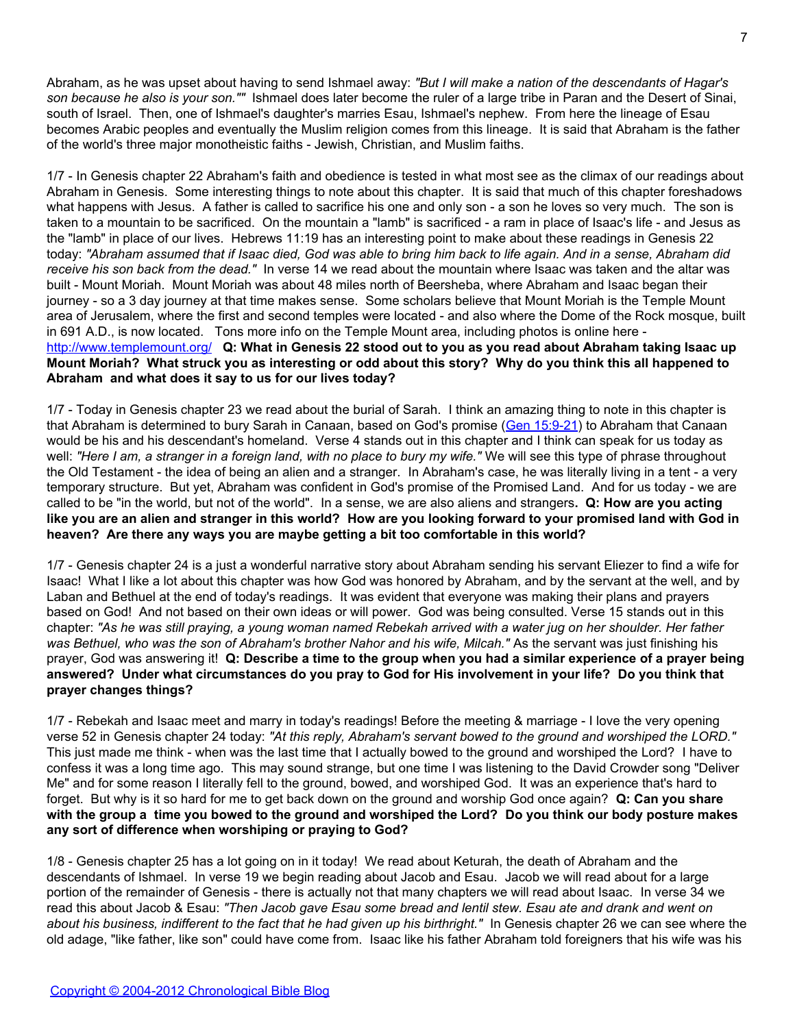Abraham, as he was upset about having to send Ishmael away: *"But I will make a nation of the descendants of Hagar's son because he also is your son.""* Ishmael does later become the ruler of a large tribe in Paran and the Desert of Sinai, south of Israel. Then, one of Ishmael's daughter's marries Esau, Ishmael's nephew. From here the lineage of Esau becomes Arabic peoples and eventually the Muslim religion comes from this lineage. It is said that Abraham is the father of the world's three major monotheistic faiths - Jewish, Christian, and Muslim faiths.

1/7 - In Genesis chapter 22 Abraham's faith and obedience is tested in what most see as the climax of our readings about Abraham in Genesis. Some interesting things to note about this chapter. It is said that much of this chapter foreshadows what happens with Jesus. A father is called to sacrifice his one and only son - a son he loves so very much. The son is taken to a mountain to be sacrificed. On the mountain a "lamb" is sacrificed - a ram in place of Isaac's life - and Jesus as the "lamb" in place of our lives. Hebrews 11:19 has an interesting point to make about these readings in Genesis 22 today: *"Abraham assumed that if Isaac died, God was able to bring him back to life again. And in a sense, Abraham did receive his son back from the dead."* In verse 14 we read about the mountain where Isaac was taken and the altar was built - Mount Moriah. Mount Moriah was about 48 miles north of Beersheba, where Abraham and Isaac began their journey - so a 3 day journey at that time makes sense. Some scholars believe that Mount Moriah is the Temple Mount area of Jerusalem, where the first and second temples were located - and also where the Dome of the Rock mosque, built in 691 A.D., is now located. Tons more info on the Temple Mount area, including photos is online here [http://www.templemount.org/](http://blank/) **Q: What in Genesis 22 stood out to you as you read about Abraham taking Isaac up Mount Moriah? What struck you as interesting or odd about this story? Why do you think this all happened to Abraham and what does it say to us for our lives today?**

1/7 - Today in Genesis chapter 23 we read about the burial of Sarah. I think an amazing thing to note in this chapter is that Abraham is determined to bury Sarah in Canaan, based on God's promise ([Gen 15:9-21](http://blank/)) to Abraham that Canaan would be his and his descendant's homeland. Verse 4 stands out in this chapter and I think can speak for us today as well: *"Here I am, a stranger in a foreign land, with no place to bury my wife."* We will see this type of phrase throughout the Old Testament - the idea of being an alien and a stranger. In Abraham's case, he was literally living in a tent - a very temporary structure. But yet, Abraham was confident in God's promise of the Promised Land. And for us today - we are called to be "in the world, but not of the world". In a sense, we are also aliens and strangers**. Q: How are you acting like you are an alien and stranger in this world? How are you looking forward to your promised land with God in heaven? Are there any ways you are maybe getting a bit too comfortable in this world?**

1/7 - Genesis chapter 24 is a just a wonderful narrative story about Abraham sending his servant Eliezer to find a wife for Isaac! What I like a lot about this chapter was how God was honored by Abraham, and by the servant at the well, and by Laban and Bethuel at the end of today's readings. It was evident that everyone was making their plans and prayers based on God! And not based on their own ideas or will power. God was being consulted. Verse 15 stands out in this chapter: *"As he was still praying, a young woman named Rebekah arrived with a water jug on her shoulder. Her father was Bethuel, who was the son of Abraham's brother Nahor and his wife, Milcah."* As the servant was just finishing his prayer, God was answering it! **Q: Describe a time to the group when you had a similar experience of a prayer being answered? Under what circumstances do you pray to God for His involvement in your life? Do you think that prayer changes things?**

1/7 - Rebekah and Isaac meet and marry in today's readings! Before the meeting & marriage - I love the very opening verse 52 in Genesis chapter 24 today: *"At this reply, Abraham's servant bowed to the ground and worshiped the LORD."* This just made me think - when was the last time that I actually bowed to the ground and worshiped the Lord? I have to confess it was a long time ago. This may sound strange, but one time I was listening to the David Crowder song "Deliver Me" and for some reason I literally fell to the ground, bowed, and worshiped God. It was an experience that's hard to forget. But why is it so hard for me to get back down on the ground and worship God once again? **Q: Can you share with the group a time you bowed to the ground and worshiped the Lord? Do you think our body posture makes any sort of difference when worshiping or praying to God?**

1/8 - Genesis chapter 25 has a lot going on in it today! We read about Keturah, the death of Abraham and the descendants of Ishmael. In verse 19 we begin reading about Jacob and Esau. Jacob we will read about for a large portion of the remainder of Genesis - there is actually not that many chapters we will read about Isaac. In verse 34 we read this about Jacob & Esau: *"Then Jacob gave Esau some bread and lentil stew. Esau ate and drank and went on about his business, indifferent to the fact that he had given up his birthright."* In Genesis chapter 26 we can see where the old adage, "like father, like son" could have come from. Isaac like his father Abraham told foreigners that his wife was his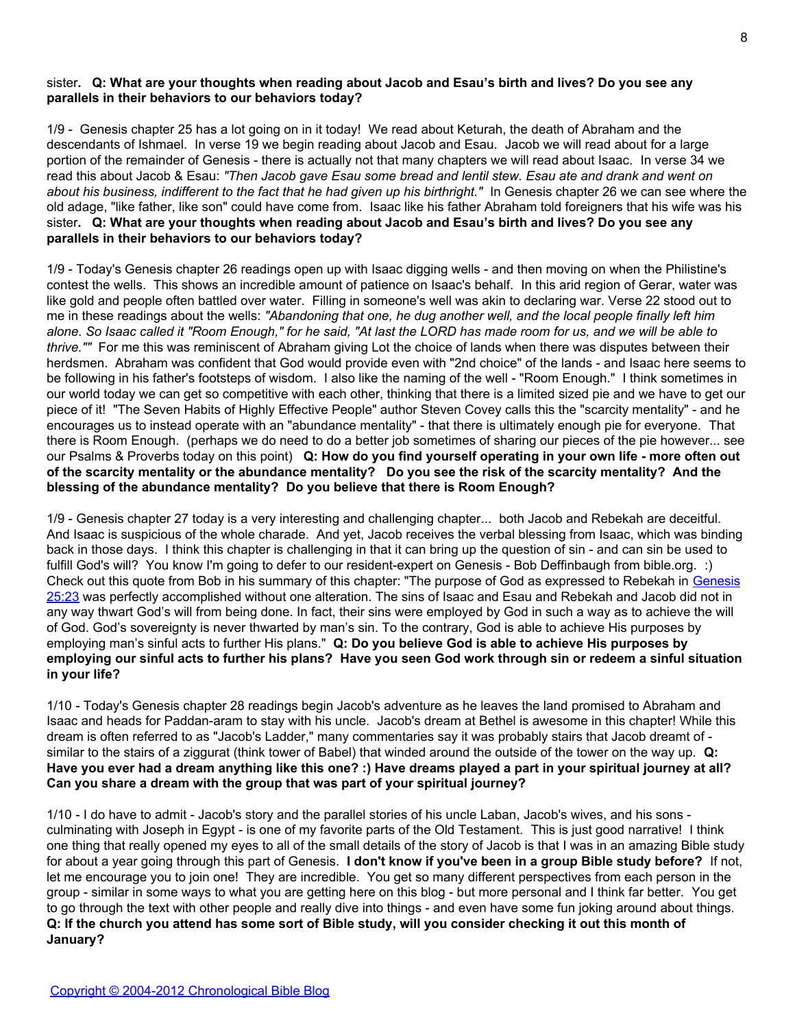## sister**. Q: What are your thoughts when reading about Jacob and Esau's birth and lives? Do you see any parallels in their behaviors to our behaviors today?**

1/9 - Genesis chapter 25 has a lot going on in it today! We read about Keturah, the death of Abraham and the descendants of Ishmael. In verse 19 we begin reading about Jacob and Esau. Jacob we will read about for a large portion of the remainder of Genesis - there is actually not that many chapters we will read about Isaac. In verse 34 we read this about Jacob & Esau: *"Then Jacob gave Esau some bread and lentil stew. Esau ate and drank and went on about his business, indifferent to the fact that he had given up his birthright."* In Genesis chapter 26 we can see where the old adage, "like father, like son" could have come from. Isaac like his father Abraham told foreigners that his wife was his sister**. Q: What are your thoughts when reading about Jacob and Esau's birth and lives? Do you see any parallels in their behaviors to our behaviors today?**

1/9 - Today's Genesis chapter 26 readings open up with Isaac digging wells - and then moving on when the Philistine's contest the wells. This shows an incredible amount of patience on Isaac's behalf. In this arid region of Gerar, water was like gold and people often battled over water. Filling in someone's well was akin to declaring war. Verse 22 stood out to me in these readings about the wells: *"Abandoning that one, he dug another well, and the local people finally left him alone. So Isaac called it "Room Enough," for he said, "At last the LORD has made room for us, and we will be able to thrive.""* For me this was reminiscent of Abraham giving Lot the choice of lands when there was disputes between their herdsmen. Abraham was confident that God would provide even with "2nd choice" of the lands - and Isaac here seems to be following in his father's footsteps of wisdom. I also like the naming of the well - "Room Enough." I think sometimes in our world today we can get so competitive with each other, thinking that there is a limited sized pie and we have to get our piece of it! "The Seven Habits of Highly Effective People" author Steven Covey calls this the "scarcity mentality" - and he encourages us to instead operate with an "abundance mentality" - that there is ultimately enough pie for everyone. That there is Room Enough. (perhaps we do need to do a better job sometimes of sharing our pieces of the pie however... see our Psalms & Proverbs today on this point) **Q: How do you find yourself operating in your own life - more often out of the scarcity mentality or the abundance mentality? Do you see the risk of the scarcity mentality? And the blessing of the abundance mentality? Do you believe that there is Room Enough?**

1/9 - Genesis chapter 27 today is a very interesting and challenging chapter... both Jacob and Rebekah are deceitful. And Isaac is suspicious of the whole charade. And yet, Jacob receives the verbal blessing from Isaac, which was binding back in those days. I think this chapter is challenging in that it can bring up the question of sin - and can sin be used to fulfill God's will? You know I'm going to defer to our resident-expert on Genesis - Bob Deffinbaugh from bible.org. :) Check out this quote from Bob in his summary of this chapter: "The purpose of God as expressed to Rebekah in [Genesis](http://blank/) [25:23](http://blank/) was perfectly accomplished without one alteration. The sins of Isaac and Esau and Rebekah and Jacob did not in any way thwart God's will from being done. In fact, their sins were employed by God in such a way as to achieve the will of God. God's sovereignty is never thwarted by man's sin. To the contrary, God is able to achieve His purposes by employing man's sinful acts to further His plans." **Q: Do you believe God is able to achieve His purposes by employing our sinful acts to further his plans? Have you seen God work through sin or redeem a sinful situation in your life?**

1/10 - Today's Genesis chapter 28 readings begin Jacob's adventure as he leaves the land promised to Abraham and Isaac and heads for Paddan-aram to stay with his uncle. Jacob's dream at Bethel is awesome in this chapter! While this dream is often referred to as "Jacob's Ladder," many commentaries say it was probably stairs that Jacob dreamt of similar to the stairs of a ziggurat (think tower of Babel) that winded around the outside of the tower on the way up. **Q: Have you ever had a dream anything like this one? :) Have dreams played a part in your spiritual journey at all? Can you share a dream with the group that was part of your spiritual journey?**

1/10 - I do have to admit - Jacob's story and the parallel stories of his uncle Laban, Jacob's wives, and his sons culminating with Joseph in Egypt - is one of my favorite parts of the Old Testament. This is just good narrative! I think one thing that really opened my eyes to all of the small details of the story of Jacob is that I was in an amazing Bible study for about a year going through this part of Genesis. **I don't know if you've been in a group Bible study before?** If not, let me encourage you to join one! They are incredible. You get so many different perspectives from each person in the group - similar in some ways to what you are getting here on this blog - but more personal and I think far better. You get to go through the text with other people and really dive into things - and even have some fun joking around about things. **Q: If the church you attend has some sort of Bible study, will you consider checking it out this month of January?**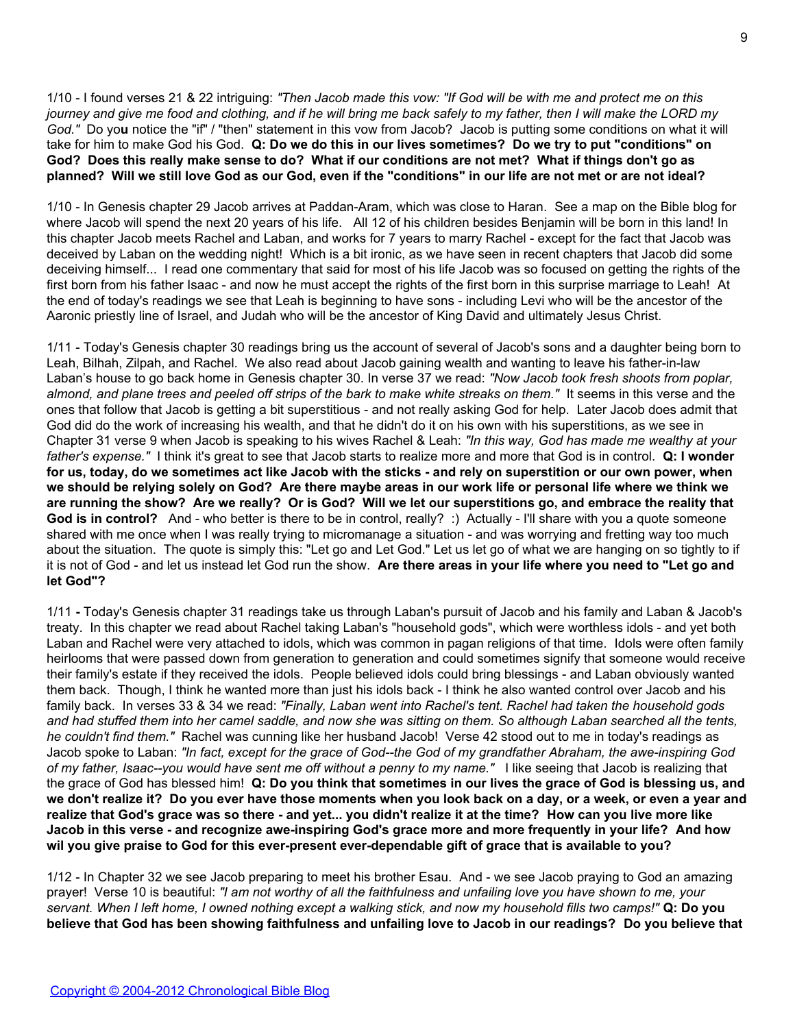1/10 - I found verses 21 & 22 intriguing: *"Then Jacob made this vow: "If God will be with me and protect me on this journey and give me food and clothing, and if he will bring me back safely to my father, then I will make the LORD my God."* Do yo**u** notice the "if" / "then" statement in this vow from Jacob? Jacob is putting some conditions on what it will take for him to make God his God. **Q: Do we do this in our lives sometimes? Do we try to put "conditions" on God? Does this really make sense to do? What if our conditions are not met? What if things don't go as planned? Will we still love God as our God, even if the "conditions" in our life are not met or are not ideal?**

1/10 - In Genesis chapter 29 Jacob arrives at Paddan-Aram, which was close to Haran. See a map on the Bible blog for where Jacob will spend the next 20 years of his life. All 12 of his children besides Benjamin will be born in this land! In this chapter Jacob meets Rachel and Laban, and works for 7 years to marry Rachel - except for the fact that Jacob was deceived by Laban on the wedding night! Which is a bit ironic, as we have seen in recent chapters that Jacob did some deceiving himself... I read one commentary that said for most of his life Jacob was so focused on getting the rights of the first born from his father Isaac - and now he must accept the rights of the first born in this surprise marriage to Leah! At the end of today's readings we see that Leah is beginning to have sons - including Levi who will be the ancestor of the Aaronic priestly line of Israel, and Judah who will be the ancestor of King David and ultimately Jesus Christ.

1/11 - Today's Genesis chapter 30 readings bring us the account of several of Jacob's sons and a daughter being born to Leah, Bilhah, Zilpah, and Rachel. We also read about Jacob gaining wealth and wanting to leave his father-in-law Laban's house to go back home in Genesis chapter 30. In verse 37 we read: *"Now Jacob took fresh shoots from poplar, almond, and plane trees and peeled off strips of the bark to make white streaks on them."* It seems in this verse and the ones that follow that Jacob is getting a bit superstitious - and not really asking God for help. Later Jacob does admit that God did do the work of increasing his wealth, and that he didn't do it on his own with his superstitions, as we see in Chapter 31 verse 9 when Jacob is speaking to his wives Rachel & Leah: *"In this way, God has made me wealthy at your father's expense."* I think it's great to see that Jacob starts to realize more and more that God is in control. **Q: I wonder for us, today, do we sometimes act like Jacob with the sticks - and rely on superstition or our own power, when we should be relying solely on God? Are there maybe areas in our work life or personal life where we think we are running the show? Are we really? Or is God? Will we let our superstitions go, and embrace the reality that God is in control?** And - who better is there to be in control, really? :) Actually - I'll share with you a quote someone shared with me once when I was really trying to micromanage a situation - and was worrying and fretting way too much about the situation. The quote is simply this: "Let go and Let God." Let us let go of what we are hanging on so tightly to if it is not of God - and let us instead let God run the show. **Are there areas in your life where you need to "Let go and let God"?**

1/11 **-** Today's Genesis chapter 31 readings take us through Laban's pursuit of Jacob and his family and Laban & Jacob's treaty. In this chapter we read about Rachel taking Laban's "household gods", which were worthless idols - and yet both Laban and Rachel were very attached to idols, which was common in pagan religions of that time. Idols were often family heirlooms that were passed down from generation to generation and could sometimes signify that someone would receive their family's estate if they received the idols. People believed idols could bring blessings - and Laban obviously wanted them back. Though, I think he wanted more than just his idols back - I think he also wanted control over Jacob and his family back. In verses 33 & 34 we read: *"Finally, Laban went into Rachel's tent. Rachel had taken the household gods and had stuffed them into her camel saddle, and now she was sitting on them. So although Laban searched all the tents, he couldn't find them."* Rachel was cunning like her husband Jacob! Verse 42 stood out to me in today's readings as Jacob spoke to Laban: *"In fact, except for the grace of God--the God of my grandfather Abraham, the awe-inspiring God of my father, Isaac--you would have sent me off without a penny to my name."* I like seeing that Jacob is realizing that the grace of God has blessed him! **Q: Do you think that sometimes in our lives the grace of God is blessing us, and we don't realize it? Do you ever have those moments when you look back on a day, or a week, or even a year and realize that God's grace was so there - and yet... you didn't realize it at the time? How can you live more like Jacob in this verse - and recognize awe-inspiring God's grace more and more frequently in your life? And how wil you give praise to God for this ever-present ever-dependable gift of grace that is available to you?**

1/12 - In Chapter 32 we see Jacob preparing to meet his brother Esau. And - we see Jacob praying to God an amazing prayer! Verse 10 is beautiful: *"I am not worthy of all the faithfulness and unfailing love you have shown to me, your servant. When I left home, I owned nothing except a walking stick, and now my household fills two camps!"* **Q: Do you believe that God has been showing faithfulness and unfailing love to Jacob in our readings? Do you believe that**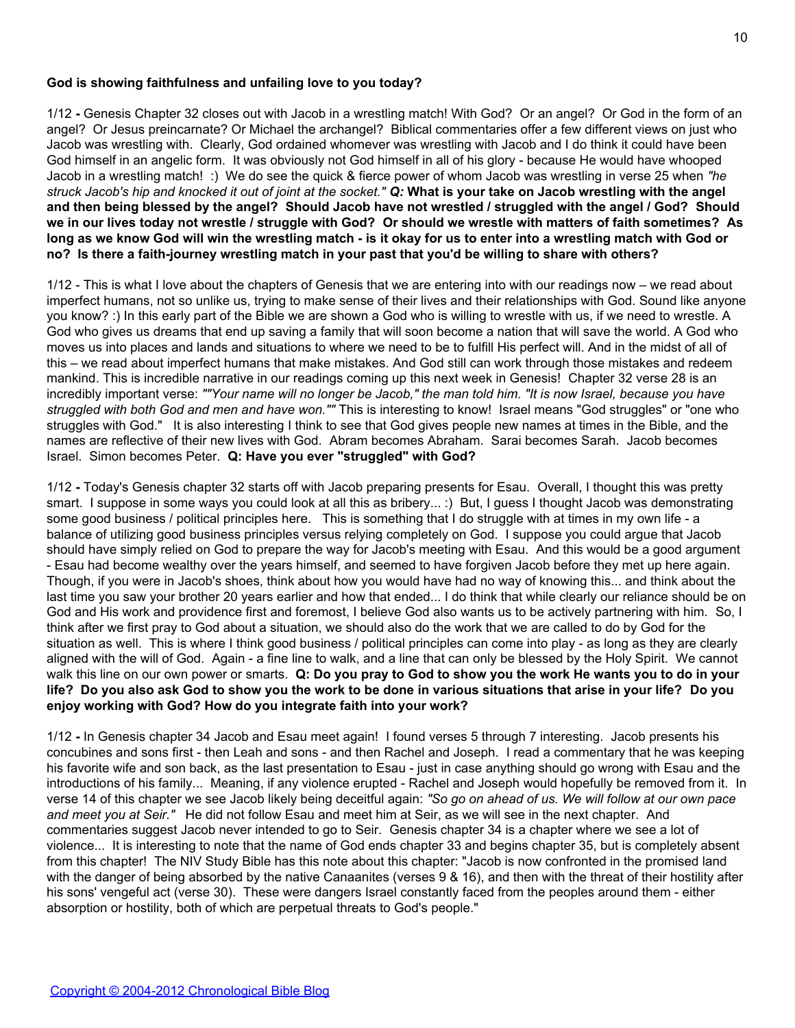## **God is showing faithfulness and unfailing love to you today?**

1/12 **-** Genesis Chapter 32 closes out with Jacob in a wrestling match! With God? Or an angel? Or God in the form of an angel? Or Jesus preincarnate? Or Michael the archangel? Biblical commentaries offer a few different views on just who Jacob was wrestling with. Clearly, God ordained whomever was wrestling with Jacob and I do think it could have been God himself in an angelic form. It was obviously not God himself in all of his glory - because He would have whooped Jacob in a wrestling match! :) We do see the quick & fierce power of whom Jacob was wrestling in verse 25 when *"he struck Jacob's hip and knocked it out of joint at the socket." Q:* **What is your take on Jacob wrestling with the angel and then being blessed by the angel? Should Jacob have not wrestled / struggled with the angel / God? Should we in our lives today not wrestle / struggle with God? Or should we wrestle with matters of faith sometimes? As long as we know God will win the wrestling match - is it okay for us to enter into a wrestling match with God or no? Is there a faith-journey wrestling match in your past that you'd be willing to share with others?**

1/12 - This is what I love about the chapters of Genesis that we are entering into with our readings now – we read about imperfect humans, not so unlike us, trying to make sense of their lives and their relationships with God. Sound like anyone you know? :) In this early part of the Bible we are shown a God who is willing to wrestle with us, if we need to wrestle. A God who gives us dreams that end up saving a family that will soon become a nation that will save the world. A God who moves us into places and lands and situations to where we need to be to fulfill His perfect will. And in the midst of all of this – we read about imperfect humans that make mistakes. And God still can work through those mistakes and redeem mankind. This is incredible narrative in our readings coming up this next week in Genesis! Chapter 32 verse 28 is an incredibly important verse: *""Your name will no longer be Jacob," the man told him. "It is now Israel, because you have struggled with both God and men and have won.""* This is interesting to know! Israel means "God struggles" or "one who struggles with God." It is also interesting I think to see that God gives people new names at times in the Bible, and the names are reflective of their new lives with God. Abram becomes Abraham. Sarai becomes Sarah. Jacob becomes Israel. Simon becomes Peter. **Q: Have you ever "struggled" with God?**

1/12 **-** Today's Genesis chapter 32 starts off with Jacob preparing presents for Esau. Overall, I thought this was pretty smart. I suppose in some ways you could look at all this as bribery... :) But, I quess I thought Jacob was demonstrating some good business / political principles here. This is something that I do struggle with at times in my own life - a balance of utilizing good business principles versus relying completely on God. I suppose you could argue that Jacob should have simply relied on God to prepare the way for Jacob's meeting with Esau. And this would be a good argument - Esau had become wealthy over the years himself, and seemed to have forgiven Jacob before they met up here again. Though, if you were in Jacob's shoes, think about how you would have had no way of knowing this... and think about the last time you saw your brother 20 years earlier and how that ended... I do think that while clearly our reliance should be on God and His work and providence first and foremost, I believe God also wants us to be actively partnering with him. So, I think after we first pray to God about a situation, we should also do the work that we are called to do by God for the situation as well. This is where I think good business / political principles can come into play - as long as they are clearly aligned with the will of God. Again - a fine line to walk, and a line that can only be blessed by the Holy Spirit. We cannot walk this line on our own power or smarts. **Q: Do you pray to God to show you the work He wants you to do in your life? Do you also ask God to show you the work to be done in various situations that arise in your life? Do you enjoy working with God? How do you integrate faith into your work?**

1/12 **-** In Genesis chapter 34 Jacob and Esau meet again! I found verses 5 through 7 interesting. Jacob presents his concubines and sons first - then Leah and sons - and then Rachel and Joseph. I read a commentary that he was keeping his favorite wife and son back, as the last presentation to Esau - just in case anything should go wrong with Esau and the introductions of his family... Meaning, if any violence erupted - Rachel and Joseph would hopefully be removed from it. In verse 14 of this chapter we see Jacob likely being deceitful again: *"So go on ahead of us. We will follow at our own pace and meet you at Seir."* He did not follow Esau and meet him at Seir, as we will see in the next chapter. And commentaries suggest Jacob never intended to go to Seir. Genesis chapter 34 is a chapter where we see a lot of violence... It is interesting to note that the name of God ends chapter 33 and begins chapter 35, but is completely absent from this chapter! The NIV Study Bible has this note about this chapter: "Jacob is now confronted in the promised land with the danger of being absorbed by the native Canaanites (verses 9 & 16), and then with the threat of their hostility after his sons' vengeful act (verse 30). These were dangers Israel constantly faced from the peoples around them - either absorption or hostility, both of which are perpetual threats to God's people."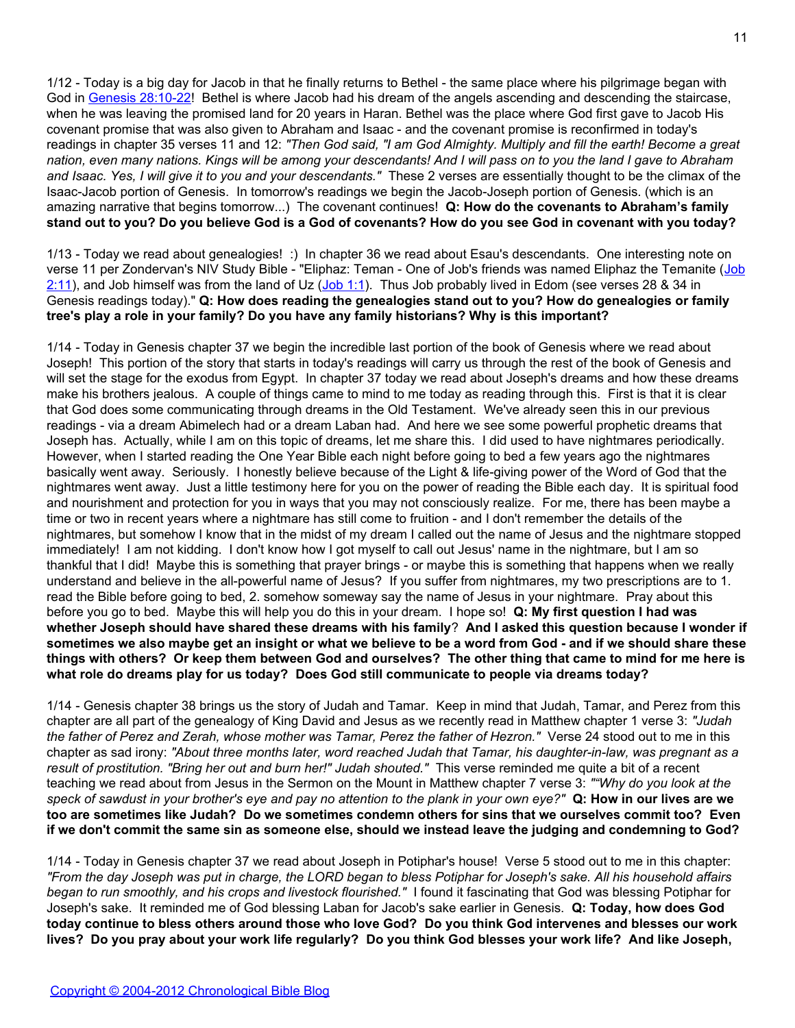1/12 - Today is a big day for Jacob in that he finally returns to Bethel - the same place where his pilgrimage began with God in [Genesis 28:10-22](http://blank/)! Bethel is where Jacob had his dream of the angels ascending and descending the staircase, when he was leaving the promised land for 20 years in Haran. Bethel was the place where God first gave to Jacob His covenant promise that was also given to Abraham and Isaac - and the covenant promise is reconfirmed in today's readings in chapter 35 verses 11 and 12: *"Then God said, "I am God Almighty. Multiply and fill the earth! Become a great nation, even many nations. Kings will be among your descendants! And I will pass on to you the land I gave to Abraham and Isaac. Yes, I will give it to you and your descendants."* These 2 verses are essentially thought to be the climax of the Isaac-Jacob portion of Genesis. In tomorrow's readings we begin the Jacob-Joseph portion of Genesis. (which is an amazing narrative that begins tomorrow...) The covenant continues! **Q: How do the covenants to Abraham's family stand out to you? Do you believe God is a God of covenants? How do you see God in covenant with you today?**

1/13 - Today we read about genealogies! :) In chapter 36 we read about Esau's descendants. One interesting note on verse 11 per Zondervan's NIV Study Bible - "Eliphaz: Teman - One of [Job](http://www.biblegateway.com/passage/?search=Job%202:11)'s friends was named Eliphaz the Temanite (Job  $2:11$ ), and Job himself was from the land of Uz [\(Job 1:1](http://www.biblegateway.com/passage/?search=Job%201:1)). Thus Job probably lived in Edom (see verses 28 & 34 in Genesis readings today)." **Q: How does reading the genealogies stand out to you? How do genealogies or family tree's play a role in your family? Do you have any family historians? Why is this important?**

1/14 - Today in Genesis chapter 37 we begin the incredible last portion of the book of Genesis where we read about Joseph! This portion of the story that starts in today's readings will carry us through the rest of the book of Genesis and will set the stage for the exodus from Egypt. In chapter 37 today we read about Joseph's dreams and how these dreams make his brothers jealous. A couple of things came to mind to me today as reading through this. First is that it is clear that God does some communicating through dreams in the Old Testament. We've already seen this in our previous readings - via a dream Abimelech had or a dream Laban had. And here we see some powerful prophetic dreams that Joseph has. Actually, while I am on this topic of dreams, let me share this. I did used to have nightmares periodically. However, when I started reading the One Year Bible each night before going to bed a few years ago the nightmares basically went away. Seriously. I honestly believe because of the Light & life-giving power of the Word of God that the nightmares went away. Just a little testimony here for you on the power of reading the Bible each day. It is spiritual food and nourishment and protection for you in ways that you may not consciously realize. For me, there has been maybe a time or two in recent years where a nightmare has still come to fruition - and I don't remember the details of the nightmares, but somehow I know that in the midst of my dream I called out the name of Jesus and the nightmare stopped immediately! I am not kidding. I don't know how I got myself to call out Jesus' name in the nightmare, but I am so thankful that I did! Maybe this is something that prayer brings - or maybe this is something that happens when we really understand and believe in the all-powerful name of Jesus? If you suffer from nightmares, my two prescriptions are to 1. read the Bible before going to bed, 2. somehow someway say the name of Jesus in your nightmare. Pray about this before you go to bed. Maybe this will help you do this in your dream. I hope so! **Q: My first question I had was whether Joseph should have shared these dreams with his family**? **And I asked this question because I wonder if sometimes we also maybe get an insight or what we believe to be a word from God - and if we should share these things with others? Or keep them between God and ourselves? The other thing that came to mind for me here is what role do dreams play for us today? Does God still communicate to people via dreams today?**

1/14 - Genesis chapter 38 brings us the story of Judah and Tamar. Keep in mind that Judah, Tamar, and Perez from this chapter are all part of the genealogy of King David and Jesus as we recently read in Matthew chapter 1 verse 3: *"Judah the father of Perez and Zerah, whose mother was Tamar, Perez the father of Hezron."* Verse 24 stood out to me in this chapter as sad irony: *"About three months later, word reached Judah that Tamar, his daughter-in-law, was pregnant as a result of prostitution. "Bring her out and burn her!" Judah shouted."* This verse reminded me quite a bit of a recent teaching we read about from Jesus in the Sermon on the Mount in Matthew chapter 7 verse 3: *""Why do you look at the speck of sawdust in your brother's eye and pay no attention to the plank in your own eye?"* **Q: How in our lives are we too are sometimes like Judah? Do we sometimes condemn others for sins that we ourselves commit too? Even if we don't commit the same sin as someone else, should we instead leave the judging and condemning to God?**

1/14 - Today in Genesis chapter 37 we read about Joseph in Potiphar's house! Verse 5 stood out to me in this chapter: *"From the day Joseph was put in charge, the LORD began to bless Potiphar for Joseph's sake. All his household affairs began to run smoothly, and his crops and livestock flourished."* I found it fascinating that God was blessing Potiphar for Joseph's sake. It reminded me of God blessing Laban for Jacob's sake earlier in Genesis. **Q: Today, how does God today continue to bless others around those who love God? Do you think God intervenes and blesses our work lives? Do you pray about your work life regularly? Do you think God blesses your work life? And like Joseph,**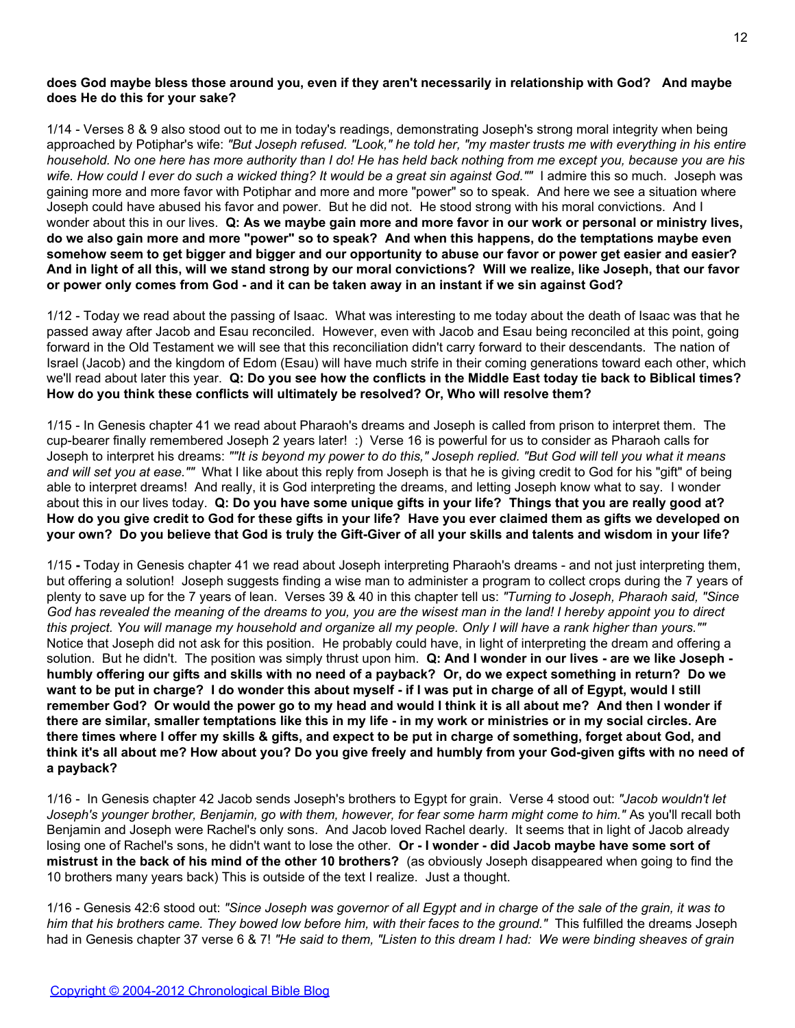## **does God maybe bless those around you, even if they aren't necessarily in relationship with God? And maybe does He do this for your sake?**

1/14 - Verses 8 & 9 also stood out to me in today's readings, demonstrating Joseph's strong moral integrity when being approached by Potiphar's wife: *"But Joseph refused. "Look," he told her, "my master trusts me with everything in his entire household. No one here has more authority than I do! He has held back nothing from me except you, because you are his wife. How could I ever do such a wicked thing? It would be a great sin against God.""* I admire this so much. Joseph was gaining more and more favor with Potiphar and more and more "power" so to speak. And here we see a situation where Joseph could have abused his favor and power. But he did not. He stood strong with his moral convictions. And I wonder about this in our lives. **Q: As we maybe gain more and more favor in our work or personal or ministry lives, do we also gain more and more "power" so to speak? And when this happens, do the temptations maybe even somehow seem to get bigger and bigger and our opportunity to abuse our favor or power get easier and easier? And in light of all this, will we stand strong by our moral convictions? Will we realize, like Joseph, that our favor or power only comes from God - and it can be taken away in an instant if we sin against God?**

1/12 - Today we read about the passing of Isaac. What was interesting to me today about the death of Isaac was that he passed away after Jacob and Esau reconciled. However, even with Jacob and Esau being reconciled at this point, going forward in the Old Testament we will see that this reconciliation didn't carry forward to their descendants. The nation of Israel (Jacob) and the kingdom of Edom (Esau) will have much strife in their coming generations toward each other, which we'll read about later this year. **Q: Do you see how the conflicts in the Middle East today tie back to Biblical times? How do you think these conflicts will ultimately be resolved? Or, Who will resolve them?**

1/15 - In Genesis chapter 41 we read about Pharaoh's dreams and Joseph is called from prison to interpret them. The cup-bearer finally remembered Joseph 2 years later! :) Verse 16 is powerful for us to consider as Pharaoh calls for Joseph to interpret his dreams: *""It is beyond my power to do this," Joseph replied. "But God will tell you what it means and will set you at ease.""* What I like about this reply from Joseph is that he is giving credit to God for his "gift" of being able to interpret dreams! And really, it is God interpreting the dreams, and letting Joseph know what to say. I wonder about this in our lives today. **Q: Do you have some unique gifts in your life? Things that you are really good at? How do you give credit to God for these gifts in your life? Have you ever claimed them as gifts we developed on your own? Do you believe that God is truly the Gift-Giver of all your skills and talents and wisdom in your life?**

1/15 **-** Today in Genesis chapter 41 we read about Joseph interpreting Pharaoh's dreams - and not just interpreting them, but offering a solution! Joseph suggests finding a wise man to administer a program to collect crops during the 7 years of plenty to save up for the 7 years of lean. Verses 39 & 40 in this chapter tell us: *"Turning to Joseph, Pharaoh said, "Since God has revealed the meaning of the dreams to you, you are the wisest man in the land! I hereby appoint you to direct this project. You will manage my household and organize all my people. Only I will have a rank higher than yours.""* Notice that Joseph did not ask for this position. He probably could have, in light of interpreting the dream and offering a solution. But he didn't. The position was simply thrust upon him. **Q: And I wonder in our lives - are we like Joseph humbly offering our gifts and skills with no need of a payback? Or, do we expect something in return? Do we want to be put in charge? I do wonder this about myself - if I was put in charge of all of Egypt, would I still remember God? Or would the power go to my head and would I think it is all about me? And then I wonder if there are similar, smaller temptations like this in my life - in my work or ministries or in my social circles. Are there times where I offer my skills & gifts, and expect to be put in charge of something, forget about God, and think it's all about me? How about you? Do you give freely and humbly from your God-given gifts with no need of a payback?**

1/16 - In Genesis chapter 42 Jacob sends Joseph's brothers to Egypt for grain. Verse 4 stood out: *"Jacob wouldn't let Joseph's younger brother, Benjamin, go with them, however, for fear some harm might come to him."* As you'll recall both Benjamin and Joseph were Rachel's only sons. And Jacob loved Rachel dearly. It seems that in light of Jacob already losing one of Rachel's sons, he didn't want to lose the other. **Or - I wonder - did Jacob maybe have some sort of mistrust in the back of his mind of the other 10 brothers?** (as obviously Joseph disappeared when going to find the 10 brothers many years back) This is outside of the text I realize. Just a thought.

1/16 - Genesis 42:6 stood out: *"Since Joseph was governor of all Egypt and in charge of the sale of the grain, it was to him that his brothers came. They bowed low before him, with their faces to the ground."* This fulfilled the dreams Joseph had in Genesis chapter 37 verse 6 & 7! *"He said to them, "Listen to this dream I had: We were binding sheaves of grain*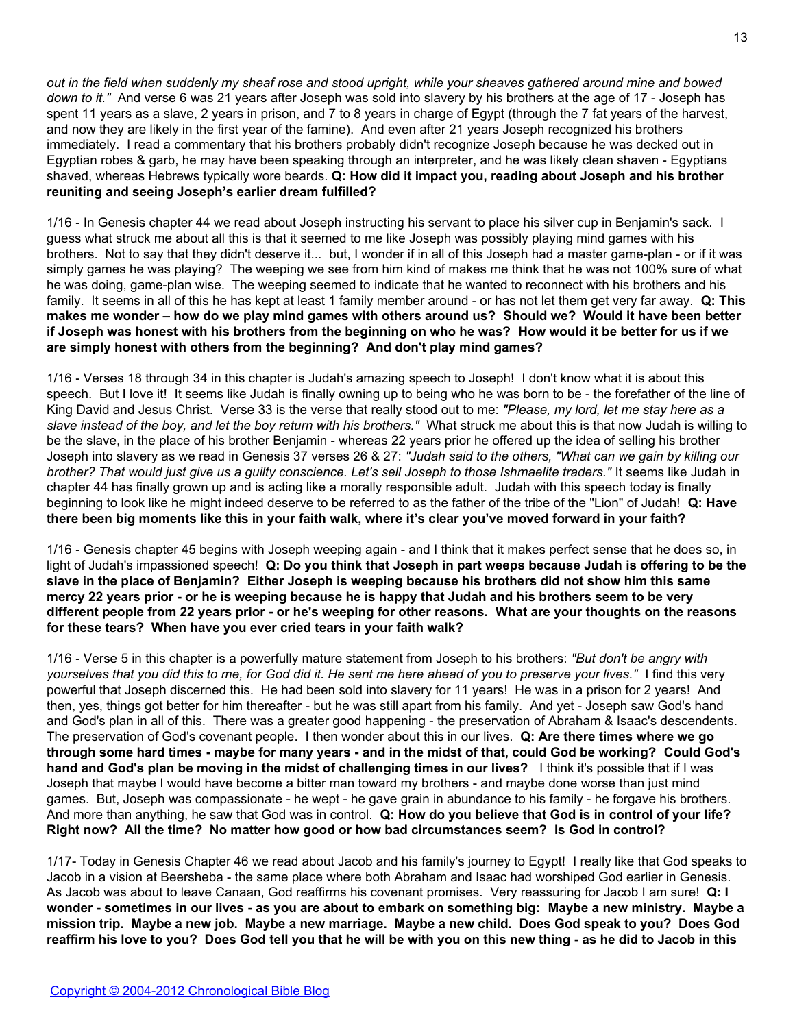*out in the field when suddenly my sheaf rose and stood upright, while your sheaves gathered around mine and bowed down to it."* And verse 6 was 21 years after Joseph was sold into slavery by his brothers at the age of 17 - Joseph has spent 11 years as a slave, 2 years in prison, and 7 to 8 years in charge of Egypt (through the 7 fat years of the harvest, and now they are likely in the first year of the famine). And even after 21 years Joseph recognized his brothers immediately. I read a commentary that his brothers probably didn't recognize Joseph because he was decked out in Egyptian robes & garb, he may have been speaking through an interpreter, and he was likely clean shaven - Egyptians shaved, whereas Hebrews typically wore beards. **Q: How did it impact you, reading about Joseph and his brother reuniting and seeing Joseph's earlier dream fulfilled?**

1/16 - In Genesis chapter 44 we read about Joseph instructing his servant to place his silver cup in Benjamin's sack. I guess what struck me about all this is that it seemed to me like Joseph was possibly playing mind games with his brothers. Not to say that they didn't deserve it... but, I wonder if in all of this Joseph had a master game-plan - or if it was simply games he was playing? The weeping we see from him kind of makes me think that he was not 100% sure of what he was doing, game-plan wise. The weeping seemed to indicate that he wanted to reconnect with his brothers and his family. It seems in all of this he has kept at least 1 family member around - or has not let them get very far away. **Q: This makes me wonder – how do we play mind games with others around us? Should we? Would it have been better if Joseph was honest with his brothers from the beginning on who he was? How would it be better for us if we are simply honest with others from the beginning? And don't play mind games?**

1/16 - Verses 18 through 34 in this chapter is Judah's amazing speech to Joseph! I don't know what it is about this speech. But I love it! It seems like Judah is finally owning up to being who he was born to be - the forefather of the line of King David and Jesus Christ. Verse 33 is the verse that really stood out to me: *"Please, my lord, let me stay here as a slave instead of the boy, and let the boy return with his brothers."* What struck me about this is that now Judah is willing to be the slave, in the place of his brother Benjamin - whereas 22 years prior he offered up the idea of selling his brother Joseph into slavery as we read in Genesis 37 verses 26 & 27: *"Judah said to the others, "What can we gain by killing our brother? That would just give us a guilty conscience. Let's sell Joseph to those Ishmaelite traders."* It seems like Judah in chapter 44 has finally grown up and is acting like a morally responsible adult. Judah with this speech today is finally beginning to look like he might indeed deserve to be referred to as the father of the tribe of the "Lion" of Judah! **Q: Have there been big moments like this in your faith walk, where it's clear you've moved forward in your faith?**

1/16 - Genesis chapter 45 begins with Joseph weeping again - and I think that it makes perfect sense that he does so, in light of Judah's impassioned speech! **Q: Do you think that Joseph in part weeps because Judah is offering to be the slave in the place of Benjamin? Either Joseph is weeping because his brothers did not show him this same mercy 22 years prior - or he is weeping because he is happy that Judah and his brothers seem to be very different people from 22 years prior - or he's weeping for other reasons. What are your thoughts on the reasons for these tears? When have you ever cried tears in your faith walk?**

1/16 - Verse 5 in this chapter is a powerfully mature statement from Joseph to his brothers: *"But don't be angry with yourselves that you did this to me, for God did it. He sent me here ahead of you to preserve your lives."* I find this very powerful that Joseph discerned this. He had been sold into slavery for 11 years! He was in a prison for 2 years! And then, yes, things got better for him thereafter - but he was still apart from his family. And yet - Joseph saw God's hand and God's plan in all of this. There was a greater good happening - the preservation of Abraham & Isaac's descendents. The preservation of God's covenant people. I then wonder about this in our lives. **Q: Are there times where we go through some hard times - maybe for many years - and in the midst of that, could God be working? Could God's hand and God's plan be moving in the midst of challenging times in our lives?** I think it's possible that if I was Joseph that maybe I would have become a bitter man toward my brothers - and maybe done worse than just mind games. But, Joseph was compassionate - he wept - he gave grain in abundance to his family - he forgave his brothers. And more than anything, he saw that God was in control. **Q: How do you believe that God is in control of your life? Right now? All the time? No matter how good or how bad circumstances seem? Is God in control?**

1/17- Today in Genesis Chapter 46 we read about Jacob and his family's journey to Egypt! I really like that God speaks to Jacob in a vision at Beersheba - the same place where both Abraham and Isaac had worshiped God earlier in Genesis. As Jacob was about to leave Canaan, God reaffirms his covenant promises. Very reassuring for Jacob I am sure! **Q: I wonder - sometimes in our lives - as you are about to embark on something big: Maybe a new ministry. Maybe a mission trip. Maybe a new job. Maybe a new marriage. Maybe a new child. Does God speak to you? Does God reaffirm his love to you? Does God tell you that he will be with you on this new thing - as he did to Jacob in this**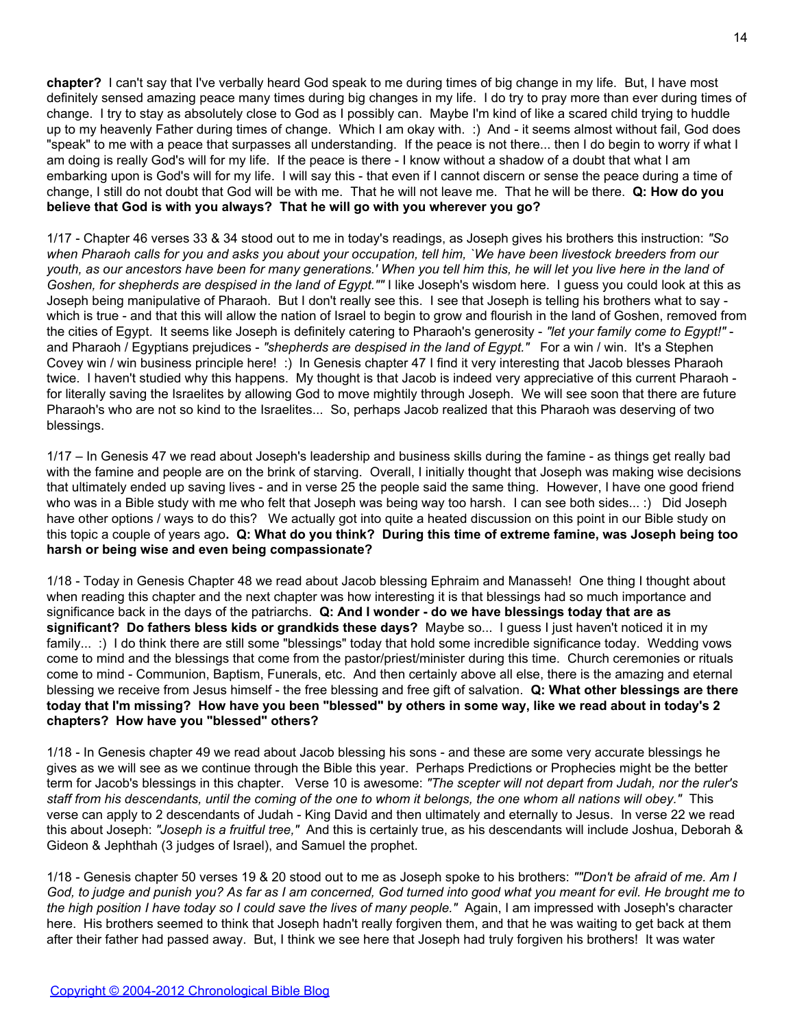**chapter?** I can't say that I've verbally heard God speak to me during times of big change in my life. But, I have most definitely sensed amazing peace many times during big changes in my life. I do try to pray more than ever during times of change. I try to stay as absolutely close to God as I possibly can. Maybe I'm kind of like a scared child trying to huddle up to my heavenly Father during times of change. Which I am okay with. :) And - it seems almost without fail, God does "speak" to me with a peace that surpasses all understanding. If the peace is not there... then I do begin to worry if what I am doing is really God's will for my life. If the peace is there - I know without a shadow of a doubt that what I am embarking upon is God's will for my life. I will say this - that even if I cannot discern or sense the peace during a time of change, I still do not doubt that God will be with me. That he will not leave me. That he will be there. **Q: How do you believe that God is with you always? That he will go with you wherever you go?**

1/17 - Chapter 46 verses 33 & 34 stood out to me in today's readings, as Joseph gives his brothers this instruction: *"So when Pharaoh calls for you and asks you about your occupation, tell him, `We have been livestock breeders from our youth, as our ancestors have been for many generations.' When you tell him this, he will let you live here in the land of Goshen, for shepherds are despised in the land of Egypt.""* I like Joseph's wisdom here. I guess you could look at this as Joseph being manipulative of Pharaoh. But I don't really see this. I see that Joseph is telling his brothers what to say which is true - and that this will allow the nation of Israel to begin to grow and flourish in the land of Goshen, removed from the cities of Egypt. It seems like Joseph is definitely catering to Pharaoh's generosity - *"let your family come to Egypt!"* and Pharaoh / Egyptians prejudices - *"shepherds are despised in the land of Egypt."* For a win / win. It's a Stephen Covey win / win business principle here! :) In Genesis chapter 47 I find it very interesting that Jacob blesses Pharaoh twice. I haven't studied why this happens. My thought is that Jacob is indeed very appreciative of this current Pharaoh for literally saving the Israelites by allowing God to move mightily through Joseph. We will see soon that there are future Pharaoh's who are not so kind to the Israelites... So, perhaps Jacob realized that this Pharaoh was deserving of two blessings.

1/17 – In Genesis 47 we read about Joseph's leadership and business skills during the famine - as things get really bad with the famine and people are on the brink of starving. Overall, I initially thought that Joseph was making wise decisions that ultimately ended up saving lives - and in verse 25 the people said the same thing. However, I have one good friend who was in a Bible study with me who felt that Joseph was being way too harsh. I can see both sides... :) Did Joseph have other options / ways to do this? We actually got into quite a heated discussion on this point in our Bible study on this topic a couple of years ago**. Q: What do you think? During this time of extreme famine, was Joseph being too harsh or being wise and even being compassionate?**

1/18 - Today in Genesis Chapter 48 we read about Jacob blessing Ephraim and Manasseh! One thing I thought about when reading this chapter and the next chapter was how interesting it is that blessings had so much importance and significance back in the days of the patriarchs. **Q: And I wonder - do we have blessings today that are as significant? Do fathers bless kids or grandkids these days?** Maybe so... I guess I just haven't noticed it in my family... :) I do think there are still some "blessings" today that hold some incredible significance today. Wedding vows come to mind and the blessings that come from the pastor/priest/minister during this time. Church ceremonies or rituals come to mind - Communion, Baptism, Funerals, etc. And then certainly above all else, there is the amazing and eternal blessing we receive from Jesus himself - the free blessing and free gift of salvation. **Q: What other blessings are there today that I'm missing? How have you been "blessed" by others in some way, like we read about in today's 2 chapters? How have you "blessed" others?**

1/18 - In Genesis chapter 49 we read about Jacob blessing his sons - and these are some very accurate blessings he gives as we will see as we continue through the Bible this year. Perhaps Predictions or Prophecies might be the better term for Jacob's blessings in this chapter. Verse 10 is awesome: *"The scepter will not depart from Judah, nor the ruler's staff from his descendants, until the coming of the one to whom it belongs, the one whom all nations will obey."* This verse can apply to 2 descendants of Judah - King David and then ultimately and eternally to Jesus. In verse 22 we read this about Joseph: *"Joseph is a fruitful tree,"* And this is certainly true, as his descendants will include Joshua, Deborah & Gideon & Jephthah (3 judges of Israel), and Samuel the prophet.

1/18 - Genesis chapter 50 verses 19 & 20 stood out to me as Joseph spoke to his brothers: *""Don't be afraid of me. Am I God, to judge and punish you? As far as I am concerned, God turned into good what you meant for evil. He brought me to the high position I have today so I could save the lives of many people."* Again, I am impressed with Joseph's character here. His brothers seemed to think that Joseph hadn't really forgiven them, and that he was waiting to get back at them after their father had passed away. But, I think we see here that Joseph had truly forgiven his brothers! It was water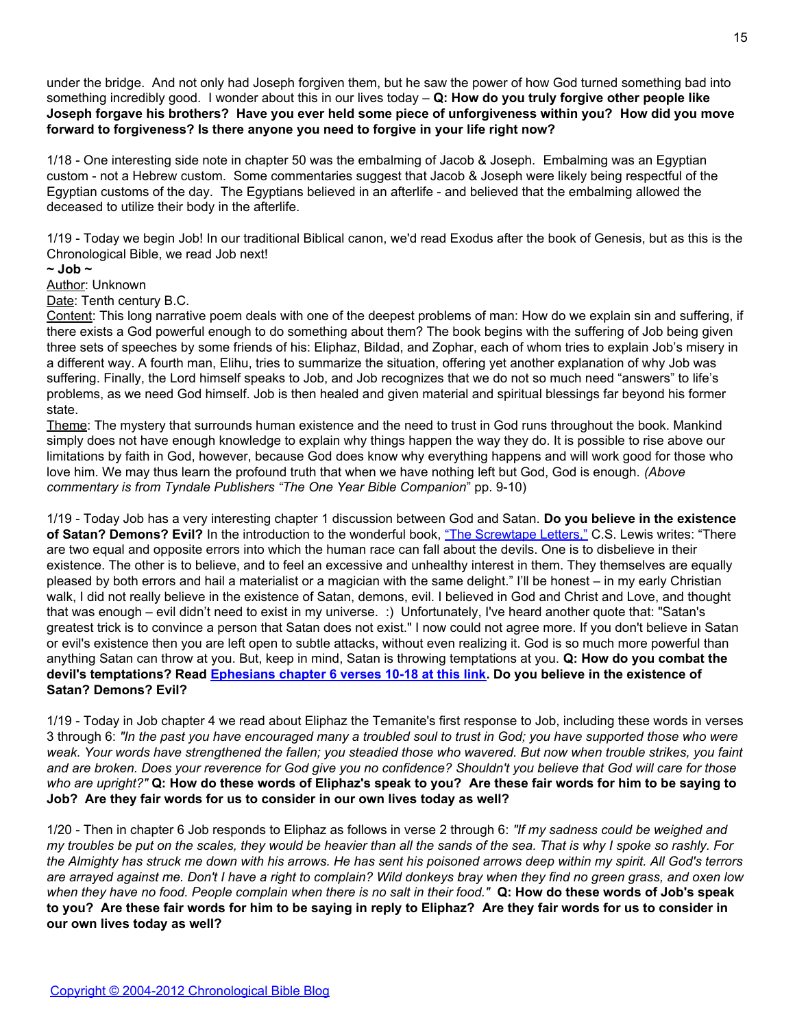under the bridge. And not only had Joseph forgiven them, but he saw the power of how God turned something bad into something incredibly good. I wonder about this in our lives today – **Q: How do you truly forgive other people like Joseph forgave his brothers? Have you ever held some piece of unforgiveness within you? How did you move forward to forgiveness? Is there anyone you need to forgive in your life right now?**

1/18 - One interesting side note in chapter 50 was the embalming of Jacob & Joseph. Embalming was an Egyptian custom - not a Hebrew custom. Some commentaries suggest that Jacob & Joseph were likely being respectful of the Egyptian customs of the day. The Egyptians believed in an afterlife - and believed that the embalming allowed the deceased to utilize their body in the afterlife.

1/19 - Today we begin Job! In our traditional Biblical canon, we'd read Exodus after the book of Genesis, but as this is the Chronological Bible, we read Job next!

# **~ Job ~**

Author: Unknown

Date: Tenth century B.C.

Content: This long narrative poem deals with one of the deepest problems of man: How do we explain sin and suffering, if there exists a God powerful enough to do something about them? The book begins with the suffering of Job being given three sets of speeches by some friends of his: Eliphaz, Bildad, and Zophar, each of whom tries to explain Job's misery in a different way. A fourth man, Elihu, tries to summarize the situation, offering yet another explanation of why Job was suffering. Finally, the Lord himself speaks to Job, and Job recognizes that we do not so much need "answers" to life's problems, as we need God himself. Job is then healed and given material and spiritual blessings far beyond his former state.

Theme: The mystery that surrounds human existence and the need to trust in God runs throughout the book. Mankind simply does not have enough knowledge to explain why things happen the way they do. It is possible to rise above our limitations by faith in God, however, because God does know why everything happens and will work good for those who love him. We may thus learn the profound truth that when we have nothing left but God, God is enough. *(Above commentary is from Tyndale Publishers "The One Year Bible Companion*" pp. 9-10)

1/19 - Today Job has a very interesting chapter 1 discussion between God and Satan. **Do you believe in the existence** of Satan? Demons? Evil? In the introduction to the wonderful book, ["The Screwtape Letters,"](http://www.amazon.com/exec/obidos/tg/detail/-/0060652934/) C.S. Lewis writes: "There are two equal and opposite errors into which the human race can fall about the devils. One is to disbelieve in their existence. The other is to believe, and to feel an excessive and unhealthy interest in them. They themselves are equally pleased by both errors and hail a materialist or a magician with the same delight." I'll be honest – in my early Christian walk, I did not really believe in the existence of Satan, demons, evil. I believed in God and Christ and Love, and thought that was enough – evil didn't need to exist in my universe. :) Unfortunately, I've heard another quote that: "Satan's greatest trick is to convince a person that Satan does not exist." I now could not agree more. If you don't believe in Satan or evil's existence then you are left open to subtle attacks, without even realizing it. God is so much more powerful than anything Satan can throw at you. But, keep in mind, Satan is throwing temptations at you. **Q: How do you combat the devil's temptations? Read [Ephesians chapter 6 verses 10-18 at this link.](http://www.biblegateway.com/passage/?search=ephesians%206:10-18) Do you believe in the existence of Satan? Demons? Evil?**

1/19 - Today in Job chapter 4 we read about Eliphaz the Temanite's first response to Job, including these words in verses 3 through 6: *"In the past you have encouraged many a troubled soul to trust in God; you have supported those who were weak. Your words have strengthened the fallen; you steadied those who wavered. But now when trouble strikes, you faint and are broken. Does your reverence for God give you no confidence? Shouldn't you believe that God will care for those who are upright?"* **Q: How do these words of Eliphaz's speak to you? Are these fair words for him to be saying to Job? Are they fair words for us to consider in our own lives today as well?**

1/20 - Then in chapter 6 Job responds to Eliphaz as follows in verse 2 through 6: *"If my sadness could be weighed and my troubles be put on the scales, they would be heavier than all the sands of the sea. That is why I spoke so rashly. For the Almighty has struck me down with his arrows. He has sent his poisoned arrows deep within my spirit. All God's terrors are arrayed against me. Don't I have a right to complain? Wild donkeys bray when they find no green grass, and oxen low when they have no food. People complain when there is no salt in their food."* **Q: How do these words of Job's speak to you? Are these fair words for him to be saying in reply to Eliphaz? Are they fair words for us to consider in our own lives today as well?**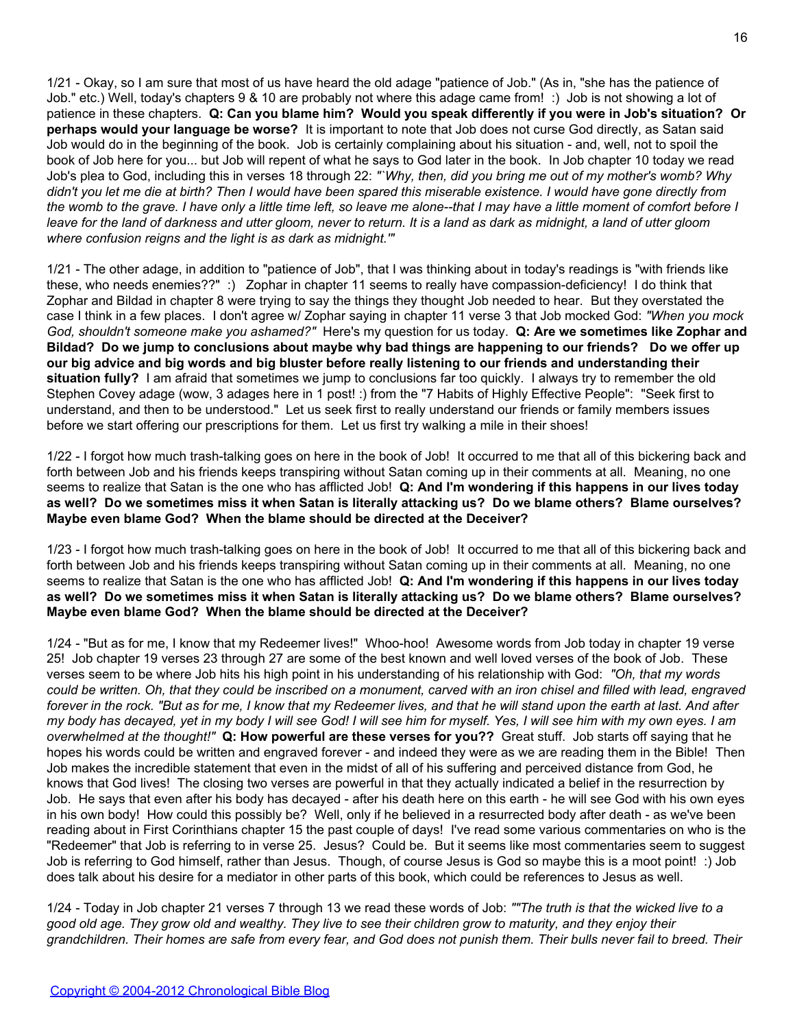1/21 - Okay, so I am sure that most of us have heard the old adage "patience of Job." (As in, "she has the patience of Job." etc.) Well, today's chapters 9 & 10 are probably not where this adage came from! :) Job is not showing a lot of patience in these chapters. **Q: Can you blame him? Would you speak differently if you were in Job's situation? Or perhaps would your language be worse?** It is important to note that Job does not curse God directly, as Satan said Job would do in the beginning of the book. Job is certainly complaining about his situation - and, well, not to spoil the book of Job here for you... but Job will repent of what he says to God later in the book. In Job chapter 10 today we read Job's plea to God, including this in verses 18 through 22: *"`Why, then, did you bring me out of my mother's womb? Why didn't you let me die at birth? Then I would have been spared this miserable existence. I would have gone directly from the womb to the grave. I have only a little time left, so leave me alone--that I may have a little moment of comfort before I leave for the land of darkness and utter gloom, never to return. It is a land as dark as midnight, a land of utter gloom where confusion reigns and the light is as dark as midnight.'"*

1/21 - The other adage, in addition to "patience of Job", that I was thinking about in today's readings is "with friends like these, who needs enemies??" :) Zophar in chapter 11 seems to really have compassion-deficiency! I do think that Zophar and Bildad in chapter 8 were trying to say the things they thought Job needed to hear. But they overstated the case I think in a few places. I don't agree w/ Zophar saying in chapter 11 verse 3 that Job mocked God: *"When you mock God, shouldn't someone make you ashamed?"* Here's my question for us today. **Q: Are we sometimes like Zophar and Bildad? Do we jump to conclusions about maybe why bad things are happening to our friends? Do we offer up our big advice and big words and big bluster before really listening to our friends and understanding their** situation fully? I am afraid that sometimes we jump to conclusions far too quickly. I always try to remember the old Stephen Covey adage (wow, 3 adages here in 1 post! :) from the "7 Habits of Highly Effective People": "Seek first to understand, and then to be understood." Let us seek first to really understand our friends or family members issues before we start offering our prescriptions for them. Let us first try walking a mile in their shoes!

1/22 - I forgot how much trash-talking goes on here in the book of Job! It occurred to me that all of this bickering back and forth between Job and his friends keeps transpiring without Satan coming up in their comments at all. Meaning, no one seems to realize that Satan is the one who has afflicted Job! **Q: And I'm wondering if this happens in our lives today as well? Do we sometimes miss it when Satan is literally attacking us? Do we blame others? Blame ourselves? Maybe even blame God? When the blame should be directed at the Deceiver?**

1/23 - I forgot how much trash-talking goes on here in the book of Job! It occurred to me that all of this bickering back and forth between Job and his friends keeps transpiring without Satan coming up in their comments at all. Meaning, no one seems to realize that Satan is the one who has afflicted Job! **Q: And I'm wondering if this happens in our lives today as well? Do we sometimes miss it when Satan is literally attacking us? Do we blame others? Blame ourselves? Maybe even blame God? When the blame should be directed at the Deceiver?**

1/24 - "But as for me, I know that my Redeemer lives!" Whoo-hoo! Awesome words from Job today in chapter 19 verse 25! Job chapter 19 verses 23 through 27 are some of the best known and well loved verses of the book of Job. These verses seem to be where Job hits his high point in his understanding of his relationship with God: *"Oh, that my words could be written. Oh, that they could be inscribed on a monument, carved with an iron chisel and filled with lead, engraved forever in the rock. "But as for me, I know that my Redeemer lives, and that he will stand upon the earth at last. And after my body has decayed, yet in my body I will see God! I will see him for myself. Yes, I will see him with my own eyes. I am overwhelmed at the thought!"* **Q: How powerful are these verses for you??** Great stuff. Job starts off saying that he hopes his words could be written and engraved forever - and indeed they were as we are reading them in the Bible! Then Job makes the incredible statement that even in the midst of all of his suffering and perceived distance from God, he knows that God lives! The closing two verses are powerful in that they actually indicated a belief in the resurrection by Job. He says that even after his body has decayed - after his death here on this earth - he will see God with his own eyes in his own body! How could this possibly be? Well, only if he believed in a resurrected body after death - as we've been reading about in First Corinthians chapter 15 the past couple of days! I've read some various commentaries on who is the "Redeemer" that Job is referring to in verse 25. Jesus? Could be. But it seems like most commentaries seem to suggest Job is referring to God himself, rather than Jesus. Though, of course Jesus is God so maybe this is a moot point! :) Job does talk about his desire for a mediator in other parts of this book, which could be references to Jesus as well.

1/24 - Today in Job chapter 21 verses 7 through 13 we read these words of Job: *""The truth is that the wicked live to a good old age. They grow old and wealthy. They live to see their children grow to maturity, and they enjoy their grandchildren. Their homes are safe from every fear, and God does not punish them. Their bulls never fail to breed. Their*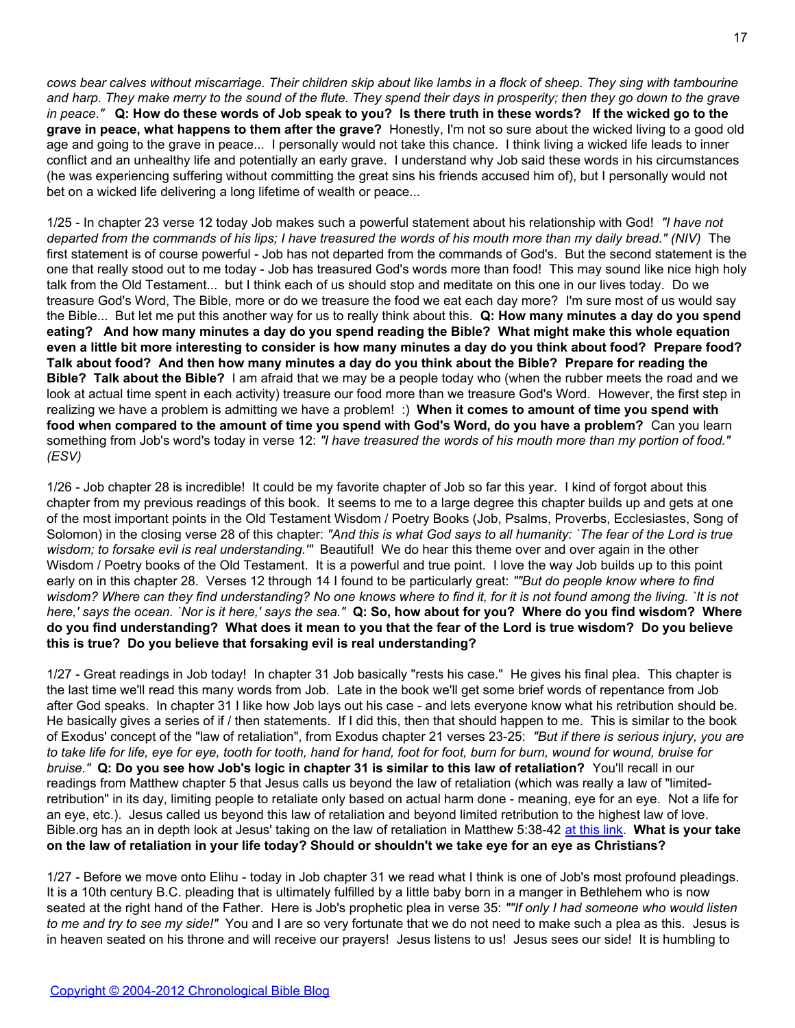*cows bear calves without miscarriage. Their children skip about like lambs in a flock of sheep. They sing with tambourine and harp. They make merry to the sound of the flute. They spend their days in prosperity; then they go down to the grave in peace."* **Q: How do these words of Job speak to you? Is there truth in these words? If the wicked go to the grave in peace, what happens to them after the grave?** Honestly, I'm not so sure about the wicked living to a good old age and going to the grave in peace... I personally would not take this chance. I think living a wicked life leads to inner conflict and an unhealthy life and potentially an early grave. I understand why Job said these words in his circumstances (he was experiencing suffering without committing the great sins his friends accused him of), but I personally would not bet on a wicked life delivering a long lifetime of wealth or peace...

1/25 - In chapter 23 verse 12 today Job makes such a powerful statement about his relationship with God! *"I have not departed from the commands of his lips; I have treasured the words of his mouth more than my daily bread." (NIV)* The first statement is of course powerful - Job has not departed from the commands of God's. But the second statement is the one that really stood out to me today - Job has treasured God's words more than food! This may sound like nice high holy talk from the Old Testament... but I think each of us should stop and meditate on this one in our lives today. Do we treasure God's Word, The Bible, more or do we treasure the food we eat each day more? I'm sure most of us would say the Bible... But let me put this another way for us to really think about this. **Q: How many minutes a day do you spend eating? And how many minutes a day do you spend reading the Bible? What might make this whole equation even a little bit more interesting to consider is how many minutes a day do you think about food? Prepare food? Talk about food? And then how many minutes a day do you think about the Bible? Prepare for reading the Bible? Talk about the Bible?** I am afraid that we may be a people today who (when the rubber meets the road and we look at actual time spent in each activity) treasure our food more than we treasure God's Word. However, the first step in realizing we have a problem is admitting we have a problem! :) **When it comes to amount of time you spend with food when compared to the amount of time you spend with God's Word, do you have a problem?** Can you learn something from Job's word's today in verse 12: *"I have treasured the words of his mouth more than my portion of food." (ESV)*

1/26 - Job chapter 28 is incredible! It could be my favorite chapter of Job so far this year. I kind of forgot about this chapter from my previous readings of this book. It seems to me to a large degree this chapter builds up and gets at one of the most important points in the Old Testament Wisdom / Poetry Books (Job, Psalms, Proverbs, Ecclesiastes, Song of Solomon) in the closing verse 28 of this chapter: *"And this is what God says to all humanity: `The fear of the Lord is true wisdom; to forsake evil is real understanding.'"* Beautiful! We do hear this theme over and over again in the other Wisdom / Poetry books of the Old Testament. It is a powerful and true point. I love the way Job builds up to this point early on in this chapter 28. Verses 12 through 14 I found to be particularly great: *""But do people know where to find wisdom? Where can they find understanding? No one knows where to find it, for it is not found among the living. `It is not here,' says the ocean. `Nor is it here,' says the sea."* **Q: So, how about for you? Where do you find wisdom? Where do you find understanding? What does it mean to you that the fear of the Lord is true wisdom? Do you believe this is true? Do you believe that forsaking evil is real understanding?**

1/27 - Great readings in Job today! In chapter 31 Job basically "rests his case." He gives his final plea. This chapter is the last time we'll read this many words from Job. Late in the book we'll get some brief words of repentance from Job after God speaks. In chapter 31 I like how Job lays out his case - and lets everyone know what his retribution should be. He basically gives a series of if / then statements. If I did this, then that should happen to me. This is similar to the book of Exodus' concept of the "law of retaliation", from Exodus chapter 21 verses 23-25: *"But if there is serious injury, you are to take life for life, eye for eye, tooth for tooth, hand for hand, foot for foot, burn for burn, wound for wound, bruise for bruise."* **Q: Do you see how Job's logic in chapter 31 is similar to this law of retaliation?** You'll recall in our readings from Matthew chapter 5 that Jesus calls us beyond the law of retaliation (which was really a law of "limitedretribution" in its day, limiting people to retaliate only based on actual harm done - meaning, eye for an eye. Not a life for an eye, etc.). Jesus called us beyond this law of retaliation and beyond limited retribution to the highest law of love. Bible.org has an in depth look at Jesus' taking on the law of retaliation in Matthew 5:38-42 [at this link.](http://www.bible.org/page.php?page_id=1066) **What is your take on the law of retaliation in your life today? Should or shouldn't we take eye for an eye as Christians?**

1/27 - Before we move onto Elihu - today in Job chapter 31 we read what I think is one of Job's most profound pleadings. It is a 10th century B.C. pleading that is ultimately fulfilled by a little baby born in a manger in Bethlehem who is now seated at the right hand of the Father. Here is Job's prophetic plea in verse 35: *""If only I had someone who would listen to me and try to see my side!"* You and I are so very fortunate that we do not need to make such a plea as this. Jesus is in heaven seated on his throne and will receive our prayers! Jesus listens to us! Jesus sees our side! It is humbling to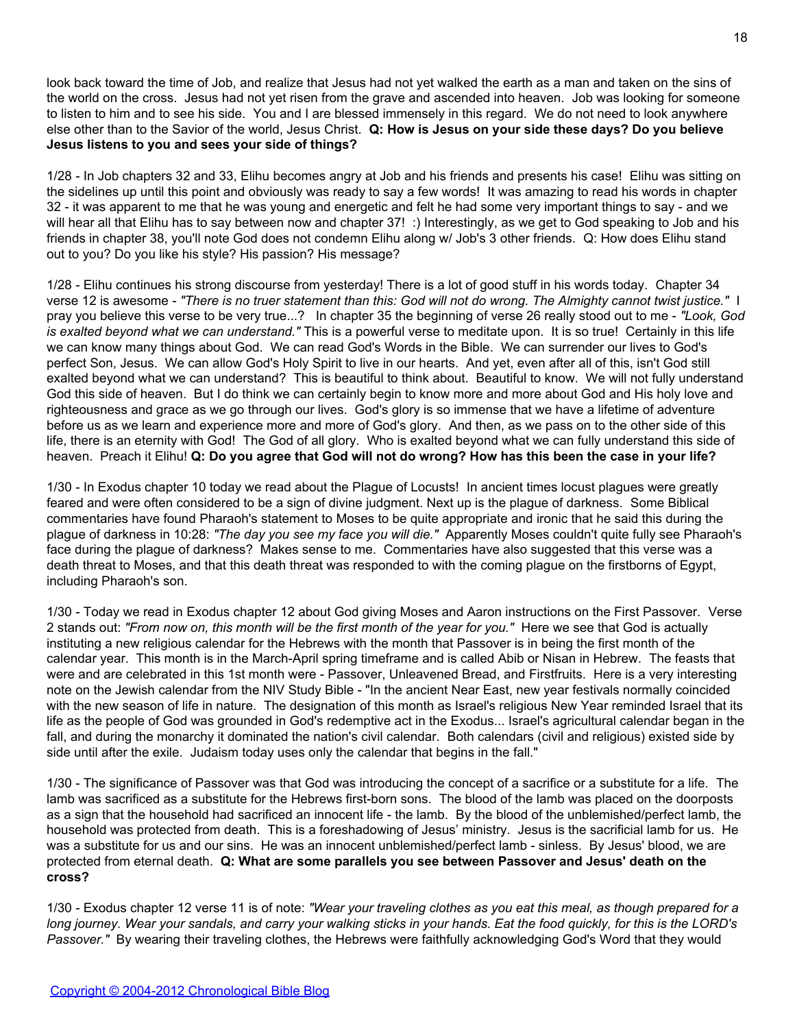look back toward the time of Job, and realize that Jesus had not yet walked the earth as a man and taken on the sins of the world on the cross. Jesus had not yet risen from the grave and ascended into heaven. Job was looking for someone to listen to him and to see his side. You and I are blessed immensely in this regard. We do not need to look anywhere else other than to the Savior of the world, Jesus Christ. **Q: How is Jesus on your side these days? Do you believe Jesus listens to you and sees your side of things?**

1/28 - In Job chapters 32 and 33, Elihu becomes angry at Job and his friends and presents his case! Elihu was sitting on the sidelines up until this point and obviously was ready to say a few words! It was amazing to read his words in chapter 32 - it was apparent to me that he was young and energetic and felt he had some very important things to say - and we will hear all that Elihu has to say between now and chapter 37! :) Interestingly, as we get to God speaking to Job and his friends in chapter 38, you'll note God does not condemn Elihu along w/ Job's 3 other friends. Q: How does Elihu stand out to you? Do you like his style? His passion? His message?

1/28 - Elihu continues his strong discourse from yesterday! There is a lot of good stuff in his words today. Chapter 34 verse 12 is awesome - *"There is no truer statement than this: God will not do wrong. The Almighty cannot twist justice."* I pray you believe this verse to be very true...? In chapter 35 the beginning of verse 26 really stood out to me - *"Look, God is exalted beyond what we can understand."* This is a powerful verse to meditate upon. It is so true! Certainly in this life we can know many things about God. We can read God's Words in the Bible. We can surrender our lives to God's perfect Son, Jesus. We can allow God's Holy Spirit to live in our hearts. And yet, even after all of this, isn't God still exalted beyond what we can understand? This is beautiful to think about. Beautiful to know. We will not fully understand God this side of heaven. But I do think we can certainly begin to know more and more about God and His holy love and righteousness and grace as we go through our lives. God's glory is so immense that we have a lifetime of adventure before us as we learn and experience more and more of God's glory. And then, as we pass on to the other side of this life, there is an eternity with God! The God of all glory. Who is exalted beyond what we can fully understand this side of heaven. Preach it Elihu! **Q: Do you agree that God will not do wrong? How has this been the case in your life?**

1/30 - In Exodus chapter 10 today we read about the Plague of Locusts! In ancient times locust plagues were greatly feared and were often considered to be a sign of divine judgment. Next up is the plague of darkness. Some Biblical commentaries have found Pharaoh's statement to Moses to be quite appropriate and ironic that he said this during the plague of darkness in 10:28: *"The day you see my face you will die."* Apparently Moses couldn't quite fully see Pharaoh's face during the plague of darkness? Makes sense to me. Commentaries have also suggested that this verse was a death threat to Moses, and that this death threat was responded to with the coming plague on the firstborns of Egypt, including Pharaoh's son.

1/30 - Today we read in Exodus chapter 12 about God giving Moses and Aaron instructions on the First Passover. Verse 2 stands out: *"From now on, this month will be the first month of the year for you."* Here we see that God is actually instituting a new religious calendar for the Hebrews with the month that Passover is in being the first month of the calendar year. This month is in the March-April spring timeframe and is called Abib or Nisan in Hebrew. The feasts that were and are celebrated in this 1st month were - Passover, Unleavened Bread, and Firstfruits. Here is a very interesting note on the Jewish calendar from the NIV Study Bible - "In the ancient Near East, new year festivals normally coincided with the new season of life in nature. The designation of this month as Israel's religious New Year reminded Israel that its life as the people of God was grounded in God's redemptive act in the Exodus... Israel's agricultural calendar began in the fall, and during the monarchy it dominated the nation's civil calendar. Both calendars (civil and religious) existed side by side until after the exile. Judaism today uses only the calendar that begins in the fall."

1/30 - The significance of Passover was that God was introducing the concept of a sacrifice or a substitute for a life. The lamb was sacrificed as a substitute for the Hebrews first-born sons. The blood of the lamb was placed on the doorposts as a sign that the household had sacrificed an innocent life - the lamb. By the blood of the unblemished/perfect lamb, the household was protected from death. This is a foreshadowing of Jesus' ministry. Jesus is the sacrificial lamb for us. He was a substitute for us and our sins. He was an innocent unblemished/perfect lamb - sinless. By Jesus' blood, we are protected from eternal death. **Q: What are some parallels you see between Passover and Jesus' death on the cross?**

1/30 - Exodus chapter 12 verse 11 is of note: *"Wear your traveling clothes as you eat this meal, as though prepared for a long journey. Wear your sandals, and carry your walking sticks in your hands. Eat the food quickly, for this is the LORD's Passover."* By wearing their traveling clothes, the Hebrews were faithfully acknowledging God's Word that they would